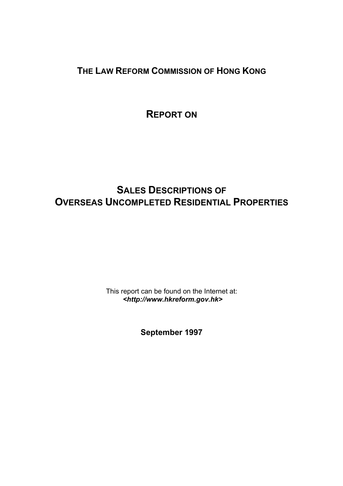**THE LAW REFORM COMMISSION OF HONG KONG**

**REPORT ON**

# **SALES DESCRIPTIONS OF OVERSEAS UNCOMPLETED RESIDENTIAL PROPERTIES**

This report can be found on the Internet at: *<http://www.hkreform.gov.hk>*

**September 1997**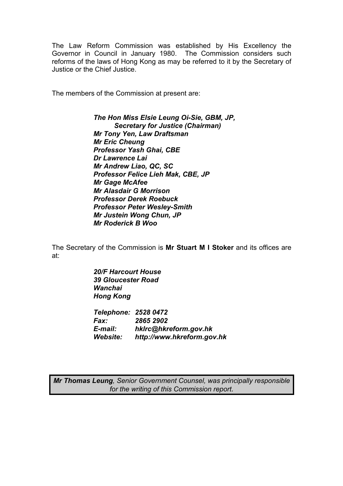The Law Reform Commission was established by His Excellency the Governor in Council in January 1980. The Commission considers such reforms of the laws of Hong Kong as may be referred to it by the Secretary of Justice or the Chief Justice.

The members of the Commission at present are:

*The Hon Miss Elsie Leung Oi-Sie, GBM, JP, Secretary for Justice (Chairman) Mr Tony Yen, Law Draftsman Mr Eric Cheung Professor Yash Ghai, CBE Dr Lawrence Lai Mr Andrew Liao, QC, SC Professor Felice Lieh Mak, CBE, JP Mr Gage McAfee Mr Alasdair G Morrison Professor Derek Roebuck Professor Peter Wesley-Smith Mr Justein Wong Chun, JP Mr Roderick B Woo* 

The Secretary of the Commission is **Mr Stuart M I Stoker** and its offices are at:

> *20/F Harcourt House 39 Gloucester Road Wanchai Hong Kong*

*Telephone: 2528 0472 Fax: 2865 2902 E-mail: hklrc@hkreform.gov.hk Website: http://www.hkreform.gov.hk* 

*Mr Thomas Leung, Senior Government Counsel, was principally responsible for the writing of this Commission report.*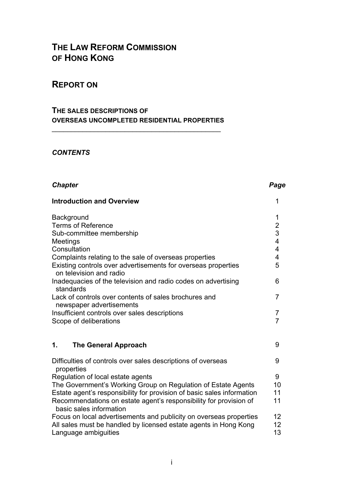# **THE LAW REFORM COMMISSION OF HONG KONG**

### **REPORT ON**

#### **THE SALES DESCRIPTIONS OF OVERSEAS UNCOMPLETED RESIDENTIAL PROPERTIES**

 $\overline{\phantom{a}}$  , and the contract of the contract of the contract of the contract of the contract of the contract of the contract of the contract of the contract of the contract of the contract of the contract of the contrac

#### *CONTENTS*

### **Chapter Chapter Chapter Chapter Chapter**  $P$

| <b>Introduction and Overview</b>                                                                                                                                                                                                                                             | 1                                                                                        |
|------------------------------------------------------------------------------------------------------------------------------------------------------------------------------------------------------------------------------------------------------------------------------|------------------------------------------------------------------------------------------|
| Background<br><b>Terms of Reference</b><br>Sub-committee membership<br>Meetings<br>Consultation<br>Complaints relating to the sale of overseas properties<br>Existing controls over advertisements for overseas properties<br>on television and radio                        | 1<br>$\overline{\mathbf{c}}$<br>3<br>$\overline{\mathbf{4}}$<br>$\overline{4}$<br>4<br>5 |
| Inadequacies of the television and radio codes on advertising<br>standards                                                                                                                                                                                                   | 6                                                                                        |
| Lack of controls over contents of sales brochures and<br>newspaper advertisements                                                                                                                                                                                            | 7                                                                                        |
| Insufficient controls over sales descriptions<br>Scope of deliberations                                                                                                                                                                                                      | 7<br>$\overline{7}$                                                                      |
| <b>The General Approach</b><br>1.                                                                                                                                                                                                                                            | 9                                                                                        |
| Difficulties of controls over sales descriptions of overseas<br>properties                                                                                                                                                                                                   | 9                                                                                        |
| Regulation of local estate agents<br>The Government's Working Group on Regulation of Estate Agents<br>Estate agent's responsibility for provision of basic sales information<br>Recommendations on estate agent's responsibility for provision of<br>basic sales information | 9<br>10<br>11<br>11                                                                      |
| Focus on local advertisements and publicity on overseas properties<br>All sales must be handled by licensed estate agents in Hong Kong<br>Language ambiguities                                                                                                               | 12<br>12 <sup>°</sup><br>13                                                              |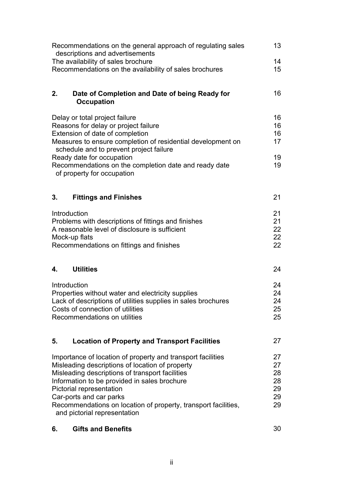| Recommendations on the general approach of regulating sales<br>descriptions and advertisements                                                                                                                                                                                                                                                                             |                                        |  |  |  |  |
|----------------------------------------------------------------------------------------------------------------------------------------------------------------------------------------------------------------------------------------------------------------------------------------------------------------------------------------------------------------------------|----------------------------------------|--|--|--|--|
| The availability of sales brochure                                                                                                                                                                                                                                                                                                                                         |                                        |  |  |  |  |
| Recommendations on the availability of sales brochures                                                                                                                                                                                                                                                                                                                     | 15                                     |  |  |  |  |
| 2.<br>Date of Completion and Date of being Ready for<br><b>Occupation</b>                                                                                                                                                                                                                                                                                                  | 16                                     |  |  |  |  |
| Delay or total project failure<br>Reasons for delay or project failure<br>Extension of date of completion<br>Measures to ensure completion of residential development on<br>schedule and to prevent project failure<br>Ready date for occupation                                                                                                                           | 16<br>16<br>16<br>17<br>19             |  |  |  |  |
| Recommendations on the completion date and ready date<br>of property for occupation                                                                                                                                                                                                                                                                                        | 19                                     |  |  |  |  |
| 3.<br><b>Fittings and Finishes</b>                                                                                                                                                                                                                                                                                                                                         | 21                                     |  |  |  |  |
| Introduction<br>Problems with descriptions of fittings and finishes<br>A reasonable level of disclosure is sufficient<br>Mock-up flats<br>Recommendations on fittings and finishes                                                                                                                                                                                         | 21<br>21<br>22<br>22<br>22             |  |  |  |  |
| <b>Utilities</b><br>4.                                                                                                                                                                                                                                                                                                                                                     | 24                                     |  |  |  |  |
| Introduction<br>Properties without water and electricity supplies<br>Lack of descriptions of utilities supplies in sales brochures<br>Costs of connection of utilities<br>Recommendations on utilities                                                                                                                                                                     | 24<br>24<br>24<br>25<br>25             |  |  |  |  |
| 5.<br><b>Location of Property and Transport Facilities</b>                                                                                                                                                                                                                                                                                                                 | 27                                     |  |  |  |  |
| Importance of location of property and transport facilities<br>Misleading descriptions of location of property<br>Misleading descriptions of transport facilities<br>Information to be provided in sales brochure<br>Pictorial representation<br>Car-ports and car parks<br>Recommendations on location of property, transport facilities,<br>and pictorial representation | 27<br>27<br>28<br>28<br>29<br>29<br>29 |  |  |  |  |
| <b>Gifts and Benefits</b><br>6.                                                                                                                                                                                                                                                                                                                                            | 30                                     |  |  |  |  |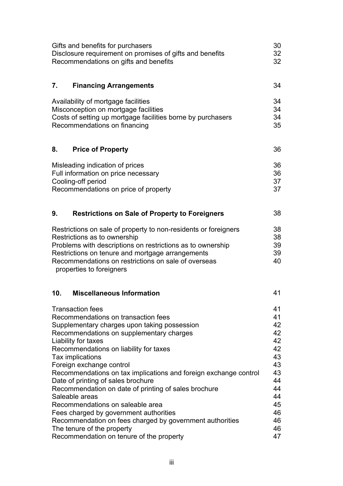| Gifts and benefits for purchasers<br>Disclosure requirement on promises of gifts and benefits<br>Recommendations on gifts and benefits                                                                                                                                                                                                                                                                                                                                                                                                                                                                                                                                              | 30<br>32<br>32                                                                                     |
|-------------------------------------------------------------------------------------------------------------------------------------------------------------------------------------------------------------------------------------------------------------------------------------------------------------------------------------------------------------------------------------------------------------------------------------------------------------------------------------------------------------------------------------------------------------------------------------------------------------------------------------------------------------------------------------|----------------------------------------------------------------------------------------------------|
| 7.<br><b>Financing Arrangements</b>                                                                                                                                                                                                                                                                                                                                                                                                                                                                                                                                                                                                                                                 | 34                                                                                                 |
| Availability of mortgage facilities<br>Misconception on mortgage facilities<br>Costs of setting up mortgage facilities borne by purchasers<br>Recommendations on financing                                                                                                                                                                                                                                                                                                                                                                                                                                                                                                          | 34<br>34<br>34<br>35                                                                               |
| <b>Price of Property</b><br>8.                                                                                                                                                                                                                                                                                                                                                                                                                                                                                                                                                                                                                                                      | 36                                                                                                 |
| Misleading indication of prices<br>Full information on price necessary<br>Cooling-off period<br>Recommendations on price of property                                                                                                                                                                                                                                                                                                                                                                                                                                                                                                                                                | 36<br>36<br>37<br>37                                                                               |
| 9.<br><b>Restrictions on Sale of Property to Foreigners</b>                                                                                                                                                                                                                                                                                                                                                                                                                                                                                                                                                                                                                         | 38                                                                                                 |
| Restrictions on sale of property to non-residents or foreigners<br>Restrictions as to ownership<br>Problems with descriptions on restrictions as to ownership<br>Restrictions on tenure and mortgage arrangements<br>Recommendations on restrictions on sale of overseas<br>properties to foreigners                                                                                                                                                                                                                                                                                                                                                                                | 38<br>38<br>39<br>39<br>40                                                                         |
| <b>Miscellaneous Information</b><br>10.                                                                                                                                                                                                                                                                                                                                                                                                                                                                                                                                                                                                                                             | 41                                                                                                 |
| <b>Transaction fees</b><br>Recommendations on transaction fees<br>Supplementary charges upon taking possession<br>Recommendations on supplementary charges<br>Liability for taxes<br>Recommendations on liability for taxes<br>Tax implications<br>Foreign exchange control<br>Recommendations on tax implications and foreign exchange control<br>Date of printing of sales brochure<br>Recommendation on date of printing of sales brochure<br>Saleable areas<br>Recommendations on saleable area<br>Fees charged by government authorities<br>Recommendation on fees charged by government authorities<br>The tenure of the property<br>Recommendation on tenure of the property | 41<br>41<br>42<br>42<br>42<br>42<br>43<br>43<br>43<br>44<br>44<br>44<br>45<br>46<br>46<br>46<br>47 |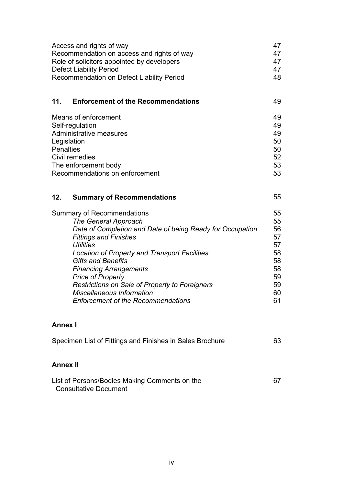| Access and rights of way<br>Recommendation on access and rights of way<br>Role of solicitors appointed by developers<br><b>Defect Liability Period</b><br>Recommendation on Defect Liability Period                                                                                                                                                                                                                                                                    | 47<br>47<br>47<br>47<br>48                                           |
|------------------------------------------------------------------------------------------------------------------------------------------------------------------------------------------------------------------------------------------------------------------------------------------------------------------------------------------------------------------------------------------------------------------------------------------------------------------------|----------------------------------------------------------------------|
| 11.<br><b>Enforcement of the Recommendations</b>                                                                                                                                                                                                                                                                                                                                                                                                                       | 49                                                                   |
| Means of enforcement<br>Self-regulation<br><b>Administrative measures</b><br>Legislation<br><b>Penalties</b><br>Civil remedies<br>The enforcement body<br>Recommendations on enforcement                                                                                                                                                                                                                                                                               | 49<br>49<br>49<br>50<br>50<br>52<br>53<br>53                         |
| 12.<br><b>Summary of Recommendations</b>                                                                                                                                                                                                                                                                                                                                                                                                                               | 55                                                                   |
| <b>Summary of Recommendations</b><br><b>The General Approach</b><br>Date of Completion and Date of being Ready for Occupation<br><b>Fittings and Finishes</b><br><b>Utilities</b><br><b>Location of Property and Transport Facilities</b><br><b>Gifts and Benefits</b><br><b>Financing Arrangements</b><br><b>Price of Property</b><br>Restrictions on Sale of Property to Foreigners<br><b>Miscellaneous Information</b><br><b>Enforcement of the Recommendations</b> | 55<br>55<br>56<br>57<br>57<br>58<br>58<br>58<br>59<br>59<br>60<br>61 |
| <b>Annex I</b>                                                                                                                                                                                                                                                                                                                                                                                                                                                         |                                                                      |
| Specimen List of Fittings and Finishes in Sales Brochure                                                                                                                                                                                                                                                                                                                                                                                                               | 63                                                                   |

### **Annex II**

| List of Persons/Bodies Making Comments on the |  |
|-----------------------------------------------|--|
| <b>Consultative Document</b>                  |  |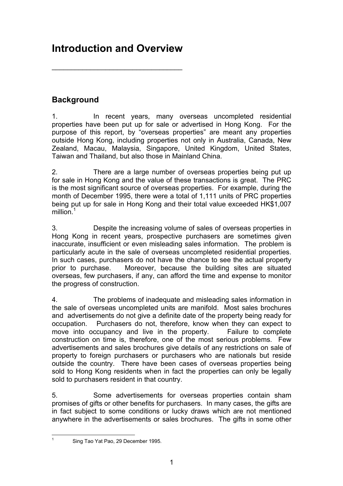# **Introduction and Overview**

 $\overline{\phantom{a}}$  , where  $\overline{\phantom{a}}$  , where  $\overline{\phantom{a}}$  ,  $\overline{\phantom{a}}$  ,  $\overline{\phantom{a}}$  ,  $\overline{\phantom{a}}$  ,  $\overline{\phantom{a}}$  ,  $\overline{\phantom{a}}$  ,  $\overline{\phantom{a}}$  ,  $\overline{\phantom{a}}$  ,  $\overline{\phantom{a}}$  ,  $\overline{\phantom{a}}$  ,  $\overline{\phantom{a}}$  ,  $\overline{\phantom{a}}$  ,  $\overline{\phantom{a}}$  ,

### **Background**

1. In recent years, many overseas uncompleted residential properties have been put up for sale or advertised in Hong Kong. For the purpose of this report, by "overseas properties" are meant any properties outside Hong Kong, including properties not only in Australia, Canada, New Zealand, Macau, Malaysia, Singapore, United Kingdom, United States, Taiwan and Thailand, but also those in Mainland China.

2. There are a large number of overseas properties being put up for sale in Hong Kong and the value of these transactions is great. The PRC is the most significant source of overseas properties. For example, during the month of December 1995, there were a total of 1,111 units of PRC properties being put up for sale in Hong Kong and their total value exceeded HK\$1,007 million. $1$ 

3. Despite the increasing volume of sales of overseas properties in Hong Kong in recent years, prospective purchasers are sometimes given inaccurate, insufficient or even misleading sales information. The problem is particularly acute in the sale of overseas uncompleted residential properties. In such cases, purchasers do not have the chance to see the actual property prior to purchase. Moreover, because the building sites are situated overseas, few purchasers, if any, can afford the time and expense to monitor the progress of construction.

4. The problems of inadequate and misleading sales information in the sale of overseas uncompleted units are manifold. Most sales brochures and advertisements do not give a definite date of the property being ready for occupation. Purchasers do not, therefore, know when they can expect to move into occupancy and live in the property. Failure to complete construction on time is, therefore, one of the most serious problems. Few advertisements and sales brochures give details of any restrictions on sale of property to foreign purchasers or purchasers who are nationals but reside outside the country. There have been cases of overseas properties being sold to Hong Kong residents when in fact the properties can only be legally sold to purchasers resident in that country.

5. Some advertisements for overseas properties contain sham promises of gifts or other benefits for purchasers. In many cases, the gifts are in fact subject to some conditions or lucky draws which are not mentioned anywhere in the advertisements or sales brochures. The gifts in some other

|<br>1

Sing Tao Yat Pao, 29 December 1995.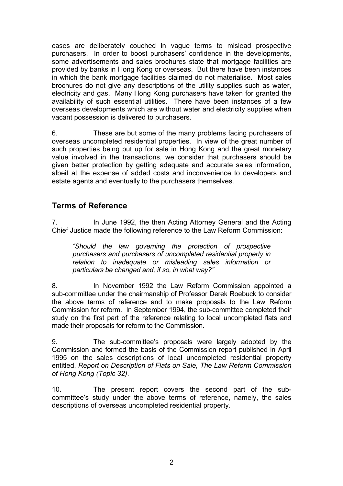cases are deliberately couched in vague terms to mislead prospective purchasers. In order to boost purchasers' confidence in the developments, some advertisements and sales brochures state that mortgage facilities are provided by banks in Hong Kong or overseas. But there have been instances in which the bank mortgage facilities claimed do not materialise. Most sales brochures do not give any descriptions of the utility supplies such as water, electricity and gas. Many Hong Kong purchasers have taken for granted the availability of such essential utilities. There have been instances of a few overseas developments which are without water and electricity supplies when vacant possession is delivered to purchasers.

6. These are but some of the many problems facing purchasers of overseas uncompleted residential properties. In view of the great number of such properties being put up for sale in Hong Kong and the great monetary value involved in the transactions, we consider that purchasers should be given better protection by getting adequate and accurate sales information, albeit at the expense of added costs and inconvenience to developers and estate agents and eventually to the purchasers themselves.

#### **Terms of Reference**

7. In June 1992, the then Acting Attorney General and the Acting Chief Justice made the following reference to the Law Reform Commission:

*"Should the law governing the protection of prospective purchasers and purchasers of uncompleted residential property in relation to inadequate or misleading sales information or particulars be changed and, if so, in what way?"* 

8. In November 1992 the Law Reform Commission appointed a sub-committee under the chairmanship of Professor Derek Roebuck to consider the above terms of reference and to make proposals to the Law Reform Commission for reform. In September 1994, the sub-committee completed their study on the first part of the reference relating to local uncompleted flats and made their proposals for reform to the Commission.

9. The sub-committee's proposals were largely adopted by the Commission and formed the basis of the Commission report published in April 1995 on the sales descriptions of local uncompleted residential property entitled, *Report on Description of Flats on Sale, The Law Reform Commission of Hong Kong (Topic 32)*.

10. The present report covers the second part of the subcommittee's study under the above terms of reference, namely, the sales descriptions of overseas uncompleted residential property.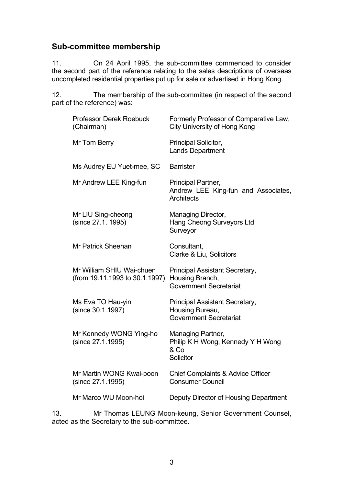#### **Sub-committee membership**

11. On 24 April 1995, the sub-committee commenced to consider the second part of the reference relating to the sales descriptions of overseas uncompleted residential properties put up for sale or advertised in Hong Kong.

12. The membership of the sub-committee (in respect of the second part of the reference) was:

| <b>Professor Derek Roebuck</b><br>(Chairman)                | Formerly Professor of Comparative Law,<br><b>City University of Hong Kong</b>      |
|-------------------------------------------------------------|------------------------------------------------------------------------------------|
| Mr Tom Berry                                                | Principal Solicitor,<br><b>Lands Department</b>                                    |
| Ms Audrey EU Yuet-mee, SC                                   | <b>Barrister</b>                                                                   |
| Mr Andrew LEE King-fun                                      | Principal Partner,<br>Andrew LEE King-fun and Associates,<br><b>Architects</b>     |
| Mr LIU Sing-cheong<br>(since 27.1. 1995)                    | Managing Director,<br>Hang Cheong Surveyors Ltd<br>Surveyor                        |
| <b>Mr Patrick Sheehan</b>                                   | Consultant,<br>Clarke & Liu, Solicitors                                            |
| Mr William SHIU Wai-chuen<br>(from 19.11.1993 to 30.1.1997) | Principal Assistant Secretary,<br>Housing Branch,<br><b>Government Secretariat</b> |
| Ms Eva TO Hau-yin<br>(since 30.1.1997)                      | Principal Assistant Secretary,<br>Housing Bureau,<br><b>Government Secretariat</b> |
| Mr Kennedy WONG Ying-ho<br>(since 27.1.1995)                | Managing Partner,<br>Philip K H Wong, Kennedy Y H Wong<br>& Co<br>Solicitor        |
| Mr Martin WONG Kwai-poon<br>(since 27.1.1995)               | <b>Chief Complaints &amp; Advice Officer</b><br><b>Consumer Council</b>            |
| Mr Marco WU Moon-hoi                                        | Deputy Director of Housing Department                                              |
|                                                             |                                                                                    |

13. Mr Thomas LEUNG Moon-keung, Senior Government Counsel, acted as the Secretary to the sub-committee.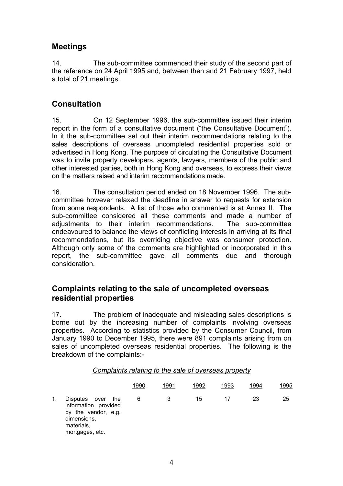### **Meetings**

14. The sub-committee commenced their study of the second part of the reference on 24 April 1995 and, between then and 21 February 1997, held a total of 21 meetings.

#### **Consultation**

15. On 12 September 1996, the sub-committee issued their interim report in the form of a consultative document ("the Consultative Document"). In it the sub-committee set out their interim recommendations relating to the sales descriptions of overseas uncompleted residential properties sold or advertised in Hong Kong. The purpose of circulating the Consultative Document was to invite property developers, agents, lawyers, members of the public and other interested parties, both in Hong Kong and overseas, to express their views on the matters raised and interim recommendations made.

16. The consultation period ended on 18 November 1996. The subcommittee however relaxed the deadline in answer to requests for extension from some respondents. A list of those who commented is at Annex II. The sub-committee considered all these comments and made a number of adjustments to their interim recommendations. The sub-committee endeavoured to balance the views of conflicting interests in arriving at its final recommendations, but its overriding objective was consumer protection. Although only some of the comments are highlighted or incorporated in this report, the sub-committee gave all comments due and thorough consideration.

#### **Complaints relating to the sale of uncompleted overseas residential properties**

17. The problem of inadequate and misleading sales descriptions is borne out by the increasing number of complaints involving overseas properties. According to statistics provided by the Consumer Council, from January 1990 to December 1995, there were 891 complaints arising from on sales of uncompleted overseas residential properties. The following is the breakdown of the complaints:-

| Complaints relating to the sale of overseas property |  |
|------------------------------------------------------|--|
|------------------------------------------------------|--|

|    |                                                                                                                        | 1990 | 1991 | 1992 | 1993 | 1994 | 1995 |
|----|------------------------------------------------------------------------------------------------------------------------|------|------|------|------|------|------|
| 1. | Disputes<br>the<br>over<br>information provided<br>by the vendor, e.g.<br>dimensions,<br>materials,<br>mortgages, etc. | 6    | 3    | 15   | 17   | 23   | 25   |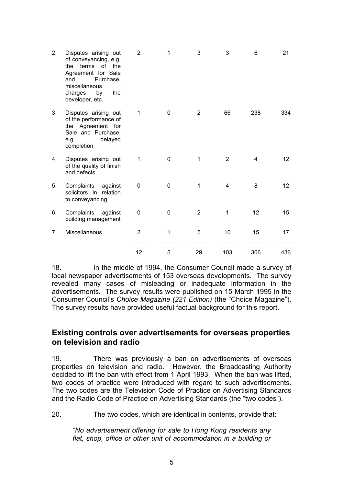| 2. | Disputes arising out<br>of conveyancing, e.g.<br>terms of the<br>the<br>Agreement for Sale<br>Purchase,<br>and<br>miscellaneous<br>the<br>charges<br>by<br>developer, etc. | $\overline{2}$ | 1 | 3              | 3   | 6   | 21  |
|----|----------------------------------------------------------------------------------------------------------------------------------------------------------------------------|----------------|---|----------------|-----|-----|-----|
| 3. | Disputes arising out<br>of the performance of<br>the Agreement for<br>Sale and Purchase,<br>delayed<br>e.g.<br>completion                                                  | 1              | 0 | 2              | 66  | 238 | 334 |
| 4. | Disputes arising out<br>of the quality of finish<br>and defects                                                                                                            | $\mathbf 1$    | 0 | 1              | 2   | 4   | 12  |
| 5. | Complaints<br>against<br>solicitors in relation<br>to conveyancing                                                                                                         | 0              | 0 | 1              | 4   | 8   | 12  |
| 6. | Complaints<br>against<br>building management                                                                                                                               | $\mathbf{0}$   | 0 | $\overline{2}$ | 1   | 12  | 15  |
| 7. | Miscellaneous                                                                                                                                                              | $\overline{2}$ | 1 | 5              | 10  | 15  | 17  |
|    |                                                                                                                                                                            | 12             | 5 | 29             | 103 | 306 | 436 |

18. In the middle of 1994, the Consumer Council made a survey of local newspaper advertisements of 153 overseas developments. The survey revealed many cases of misleading or inadequate information in the advertisements. The survey results were published on 15 March 1995 in the Consumer Council's *Choice Magazine (221 Edition)* (the "Choice Magazine"). The survey results have provided useful factual background for this report.

#### **Existing controls over advertisements for overseas properties on television and radio**

19. There was previously a ban on advertisements of overseas properties on television and radio. However, the Broadcasting Authority decided to lift the ban with effect from 1 April 1993. When the ban was lifted, two codes of practice were introduced with regard to such advertisements. The two codes are the Television Code of Practice on Advertising Standards and the Radio Code of Practice on Advertising Standards (the "two codes").

20. The two codes, which are identical in contents, provide that:

*"No advertisement offering for sale to Hong Kong residents any flat, shop, office or other unit of accommodation in a building or*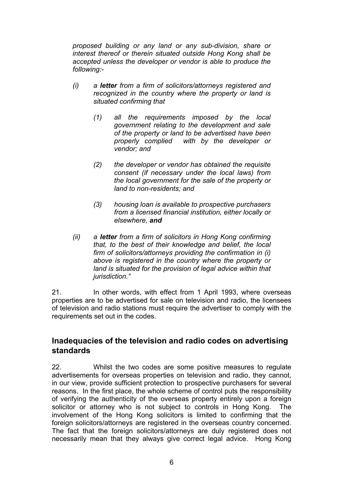*proposed building or any land or any sub-division, share or interest thereof or therein situated outside Hong Kong shall be accepted unless the developer or vendor is able to produce the following:-* 

- *(i) a letter from a firm of solicitors/attorneys registered and recognized in the country where the property or land is situated confirming that* 
	- *(1) all the requirements imposed by the local government relating to the development and sale of the property or land to be advertised have been properly complied with by the developer or vendor; and*
	- *(2) the developer or vendor has obtained the requisite consent (if necessary under the local laws) from the local government for the sale of the property or land to non-residents; and*
	- *(3) housing loan is available to prospective purchasers from a licensed financial institution, either locally or elsewhere, and*
- *(ii) a letter from a firm of solicitors in Hong Kong confirming that, to the best of their knowledge and belief, the local firm of solicitors/attorneys providing the confirmation in (i) above is registered in the country where the property or land is situated for the provision of legal advice within that jurisdiction."*

21. In other words, with effect from 1 April 1993, where overseas properties are to be advertised for sale on television and radio, the licensees of television and radio stations must require the advertiser to comply with the requirements set out in the codes.

#### **Inadequacies of the television and radio codes on advertising standards**

22. Whilst the two codes are some positive measures to regulate advertisements for overseas properties on television and radio, they cannot, in our view, provide sufficient protection to prospective purchasers for several reasons. In the first place, the whole scheme of control puts the responsibility of verifying the authenticity of the overseas property entirely upon a foreign solicitor or attorney who is not subject to controls in Hong Kong. The involvement of the Hong Kong solicitors is limited to confirming that the foreign solicitors/attorneys are registered in the overseas country concerned. The fact that the foreign solicitors/attorneys are duly registered does not necessarily mean that they always give correct legal advice. Hong Kong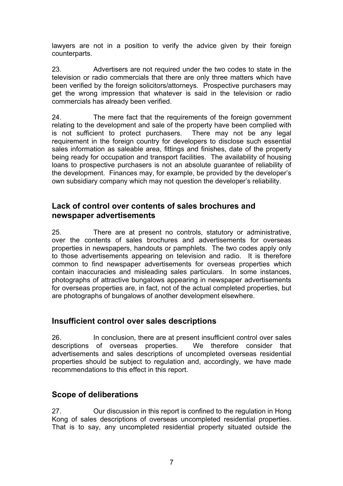lawyers are not in a position to verify the advice given by their foreign counterparts.

23. Advertisers are not required under the two codes to state in the television or radio commercials that there are only three matters which have been verified by the foreign solicitors/attorneys. Prospective purchasers may get the wrong impression that whatever is said in the television or radio commercials has already been verified.

24. The mere fact that the requirements of the foreign government relating to the development and sale of the property have been complied with is not sufficient to protect purchasers. There may not be any legal requirement in the foreign country for developers to disclose such essential sales information as saleable area, fittings and finishes, date of the property being ready for occupation and transport facilities. The availability of housing loans to prospective purchasers is not an absolute guarantee of reliability of the development. Finances may, for example, be provided by the developer's own subsidiary company which may not question the developer's reliability.

#### **Lack of control over contents of sales brochures and newspaper advertisements**

25. There are at present no controls, statutory or administrative, over the contents of sales brochures and advertisements for overseas properties in newspapers, handouts or pamphlets. The two codes apply only to those advertisements appearing on television and radio. It is therefore common to find newspaper advertisements for overseas properties which contain inaccuracies and misleading sales particulars. In some instances, photographs of attractive bungalows appearing in newspaper advertisements for overseas properties are, in fact, not of the actual completed properties, but are photographs of bungalows of another development elsewhere.

### **Insufficient control over sales descriptions**

26. In conclusion, there are at present insufficient control over sales descriptions of overseas properties. We therefore consider that advertisements and sales descriptions of uncompleted overseas residential properties should be subject to regulation and, accordingly, we have made recommendations to this effect in this report.

### **Scope of deliberations**

27. Our discussion in this report is confined to the regulation in Hong Kong of sales descriptions of overseas uncompleted residential properties. That is to say, any uncompleted residential property situated outside the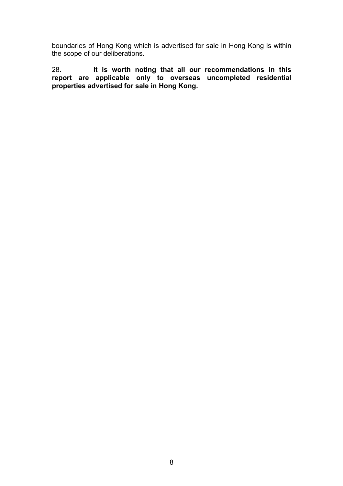boundaries of Hong Kong which is advertised for sale in Hong Kong is within the scope of our deliberations.

28. **It is worth noting that all our recommendations in this report are applicable only to overseas uncompleted residential properties advertised for sale in Hong Kong.**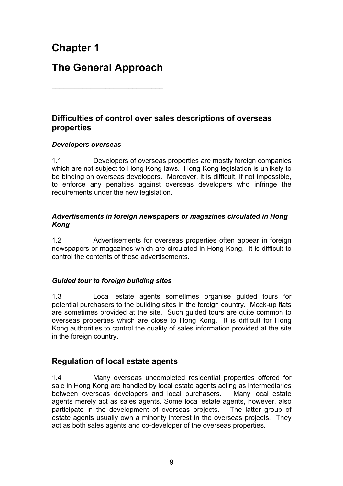# **Chapter 1**

# **The General Approach**

\_\_\_\_\_\_\_\_\_\_\_\_\_\_\_\_\_\_\_\_\_\_\_\_\_\_\_\_\_

### **Difficulties of control over sales descriptions of overseas properties**

#### *Developers overseas*

1.1 Developers of overseas properties are mostly foreign companies which are not subject to Hong Kong laws. Hong Kong legislation is unlikely to be binding on overseas developers. Moreover, it is difficult, if not impossible, to enforce any penalties against overseas developers who infringe the requirements under the new legislation.

#### *Advertisements in foreign newspapers or magazines circulated in Hong Kong*

1.2 Advertisements for overseas properties often appear in foreign newspapers or magazines which are circulated in Hong Kong. It is difficult to control the contents of these advertisements.

#### *Guided tour to foreign building sites*

1.3 Local estate agents sometimes organise guided tours for potential purchasers to the building sites in the foreign country. Mock-up flats are sometimes provided at the site. Such guided tours are quite common to overseas properties which are close to Hong Kong. It is difficult for Hong Kong authorities to control the quality of sales information provided at the site in the foreign country.

### **Regulation of local estate agents**

1.4 Many overseas uncompleted residential properties offered for sale in Hong Kong are handled by local estate agents acting as intermediaries between overseas developers and local purchasers. Many local estate agents merely act as sales agents. Some local estate agents, however, also participate in the development of overseas projects. The latter group of estate agents usually own a minority interest in the overseas projects. They act as both sales agents and co-developer of the overseas properties.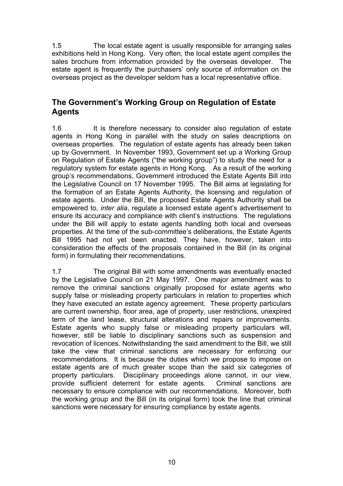1.5 The local estate agent is usually responsible for arranging sales exhibitions held in Hong Kong. Very often, the local estate agent compiles the sales brochure from information provided by the overseas developer. The estate agent is frequently the purchasers' only source of information on the overseas project as the developer seldom has a local representative office.

### **The Government's Working Group on Regulation of Estate Agents**

1.6 It is therefore necessary to consider also regulation of estate agents in Hong Kong in parallel with the study on sales descriptions on overseas properties. The regulation of estate agents has already been taken up by Government. In November 1993, Government set up a Working Group on Regulation of Estate Agents ("the working group") to study the need for a regulatory system for estate agents in Hong Kong. As a result of the working group's recommendations, Government introduced the Estate Agents Bill into the Legislative Council on 17 November 1995. The Bill aims at legislating for the formation of an Estate Agents Authority, the licensing and regulation of estate agents. Under the Bill, the proposed Estate Agents Authority shall be empowered to, *inter alia*, regulate a licensed estate agent's advertisement to ensure its accuracy and compliance with client's instructions. The regulations under the Bill will apply to estate agents handling both local and overseas properties. At the time of the sub-committee's deliberations, the Estate Agents Bill 1995 had not yet been enacted. They have, however, taken into consideration the effects of the proposals contained in the Bill (in its original form) in formulating their recommendations.

1.7 The original Bill with some amendments was eventually enacted by the Legislative Council on 21 May 1997. One major amendment was to remove the criminal sanctions originally proposed for estate agents who supply false or misleading property particulars in relation to properties which they have executed an estate agency agreement. These property particulars are current ownership, floor area, age of property, user restrictions, unexpired term of the land lease, structural alterations and repairs or improvements. Estate agents who supply false or misleading property particulars will, however, still be liable to disciplinary sanctions such as suspension and revocation of licences. Notwithstanding the said amendment to the Bill, we still take the view that criminal sanctions are necessary for enforcing our recommendations. It is because the duties which we propose to impose on estate agents are of much greater scope than the said six categories of property particulars. Disciplinary proceedings alone cannot, in our view, provide sufficient deterrent for estate agents. Criminal sanctions are necessary to ensure compliance with our recommendations. Moreover, both the working group and the Bill (in its original form) took the line that criminal sanctions were necessary for ensuring compliance by estate agents.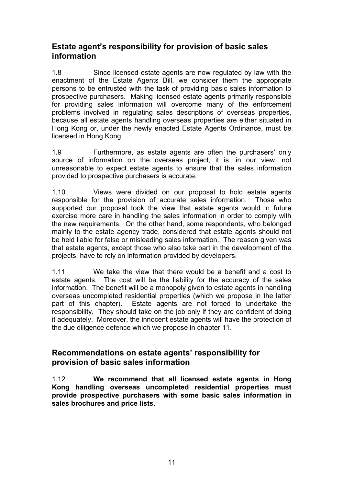#### **Estate agent's responsibility for provision of basic sales information**

1.8 Since licensed estate agents are now regulated by law with the enactment of the Estate Agents Bill, we consider them the appropriate persons to be entrusted with the task of providing basic sales information to prospective purchasers. Making licensed estate agents primarily responsible for providing sales information will overcome many of the enforcement problems involved in regulating sales descriptions of overseas properties, because all estate agents handling overseas properties are either situated in Hong Kong or, under the newly enacted Estate Agents Ordinance, must be licensed in Hong Kong.

1.9 Furthermore, as estate agents are often the purchasers' only source of information on the overseas project, it is, in our view, not unreasonable to expect estate agents to ensure that the sales information provided to prospective purchasers is accurate.

1.10 Views were divided on our proposal to hold estate agents responsible for the provision of accurate sales information. Those who supported our proposal took the view that estate agents would in future exercise more care in handling the sales information in order to comply with the new requirements. On the other hand, some respondents, who belonged mainly to the estate agency trade, considered that estate agents should not be held liable for false or misleading sales information. The reason given was that estate agents, except those who also take part in the development of the projects, have to rely on information provided by developers.

1.11 We take the view that there would be a benefit and a cost to estate agents. The cost will be the liability for the accuracy of the sales information. The benefit will be a monopoly given to estate agents in handling overseas uncompleted residential properties (which we propose in the latter part of this chapter). Estate agents are not forced to undertake the responsibility. They should take on the job only if they are confident of doing it adequately. Moreover, the innocent estate agents will have the protection of the due diligence defence which we propose in chapter 11.

#### **Recommendations on estate agents' responsibility for provision of basic sales information**

1.12 **We recommend that all licensed estate agents in Hong Kong handling overseas uncompleted residential properties must provide prospective purchasers with some basic sales information in sales brochures and price lists.**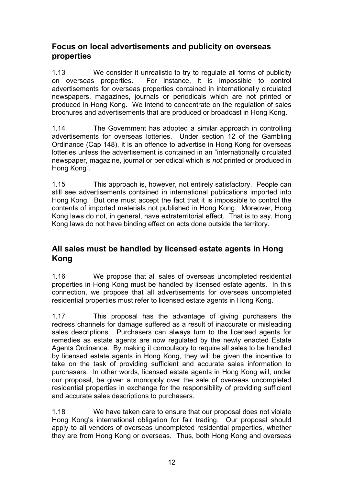### **Focus on local advertisements and publicity on overseas properties**

1.13 We consider it unrealistic to try to regulate all forms of publicity on overseas properties. For instance, it is impossible to control advertisements for overseas properties contained in internationally circulated newspapers, magazines, journals or periodicals which are not printed or produced in Hong Kong. We intend to concentrate on the regulation of sales brochures and advertisements that are produced or broadcast in Hong Kong.

1.14 The Government has adopted a similar approach in controlling advertisements for overseas lotteries. Under section 12 of the Gambling Ordinance (Cap 148), it is an offence to advertise in Hong Kong for overseas lotteries unless the advertisement is contained in an "internationally circulated newspaper, magazine, journal or periodical which is *not* printed or produced in Hong Kong".

1.15 This approach is, however, not entirely satisfactory. People can still see advertisements contained in international publications imported into Hong Kong. But one must accept the fact that it is impossible to control the contents of imported materials not published in Hong Kong. Moreover, Hong Kong laws do not, in general, have extraterritorial effect. That is to say, Hong Kong laws do not have binding effect on acts done outside the territory.

### **All sales must be handled by licensed estate agents in Hong Kong**

1.16 We propose that all sales of overseas uncompleted residential properties in Hong Kong must be handled by licensed estate agents. In this connection, we propose that all advertisements for overseas uncompleted residential properties must refer to licensed estate agents in Hong Kong.

1.17 This proposal has the advantage of giving purchasers the redress channels for damage suffered as a result of inaccurate or misleading sales descriptions. Purchasers can always turn to the licensed agents for remedies as estate agents are now regulated by the newly enacted Estate Agents Ordinance. By making it compulsory to require all sales to be handled by licensed estate agents in Hong Kong, they will be given the incentive to take on the task of providing sufficient and accurate sales information to purchasers. In other words, licensed estate agents in Hong Kong will, under our proposal, be given a monopoly over the sale of overseas uncompleted residential properties in exchange for the responsibility of providing sufficient and accurate sales descriptions to purchasers.

1.18 We have taken care to ensure that our proposal does not violate Hong Kong's international obligation for fair trading. Our proposal should apply to all vendors of overseas uncompleted residential properties, whether they are from Hong Kong or overseas. Thus, both Hong Kong and overseas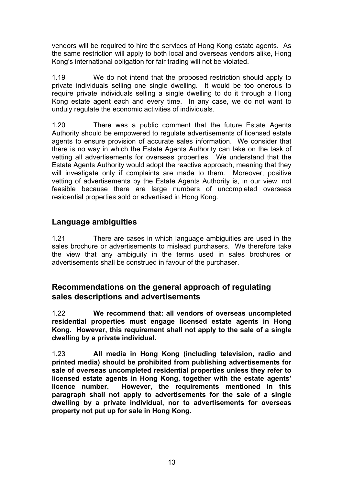vendors will be required to hire the services of Hong Kong estate agents. As the same restriction will apply to both local and overseas vendors alike, Hong Kong's international obligation for fair trading will not be violated.

1.19 We do not intend that the proposed restriction should apply to private individuals selling one single dwelling. It would be too onerous to require private individuals selling a single dwelling to do it through a Hong Kong estate agent each and every time. In any case, we do not want to unduly regulate the economic activities of individuals.

1.20 There was a public comment that the future Estate Agents Authority should be empowered to regulate advertisements of licensed estate agents to ensure provision of accurate sales information. We consider that there is no way in which the Estate Agents Authority can take on the task of vetting all advertisements for overseas properties. We understand that the Estate Agents Authority would adopt the reactive approach, meaning that they will investigate only if complaints are made to them. Moreover, positive vetting of advertisements by the Estate Agents Authority is, in our view, not feasible because there are large numbers of uncompleted overseas residential properties sold or advertised in Hong Kong.

### **Language ambiguities**

1.21There are cases in which language ambiguities are used in the sales brochure or advertisements to mislead purchasers. We therefore take the view that any ambiguity in the terms used in sales brochures or advertisements shall be construed in favour of the purchaser.

#### **Recommendations on the general approach of regulating sales descriptions and advertisements**

1.22 **We recommend that: all vendors of overseas uncompleted residential properties must engage licensed estate agents in Hong Kong. However, this requirement shall not apply to the sale of a single dwelling by a private individual.** 

1.23 **All media in Hong Kong (including television, radio and printed media) should be prohibited from publishing advertisements for sale of overseas uncompleted residential properties unless they refer to licensed estate agents in Hong Kong, together with the estate agents' licence number. However, the requirements mentioned in this paragraph shall not apply to advertisements for the sale of a single dwelling by a private individual, nor to advertisements for overseas property not put up for sale in Hong Kong.**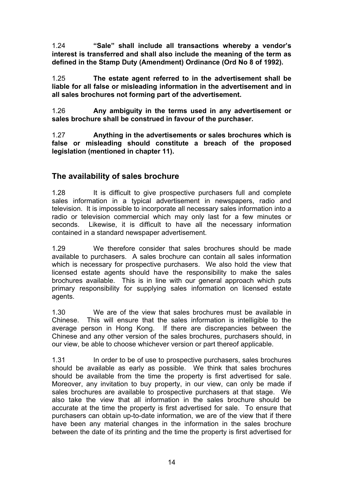1.24 **"Sale" shall include all transactions whereby a vendor's interest is transferred and shall also include the meaning of the term as defined in the Stamp Duty (Amendment) Ordinance (Ord No 8 of 1992).** 

1.25 **The estate agent referred to in the advertisement shall be liable for all false or misleading information in the advertisement and in all sales brochures not forming part of the advertisement.** 

1.26 **Any ambiguity in the terms used in any advertisement or sales brochure shall be construed in favour of the purchaser.** 

1.27 **Anything in the advertisements or sales brochures which is false or misleading should constitute a breach of the proposed legislation (mentioned in chapter 11).** 

### **The availability of sales brochure**

1.28 It is difficult to give prospective purchasers full and complete sales information in a typical advertisement in newspapers, radio and television. It is impossible to incorporate all necessary sales information into a radio or television commercial which may only last for a few minutes or seconds. Likewise, it is difficult to have all the necessary information contained in a standard newspaper advertisement.

1.29 We therefore consider that sales brochures should be made available to purchasers. A sales brochure can contain all sales information which is necessary for prospective purchasers. We also hold the view that licensed estate agents should have the responsibility to make the sales brochures available. This is in line with our general approach which puts primary responsibility for supplying sales information on licensed estate agents.

1.30 We are of the view that sales brochures must be available in Chinese. This will ensure that the sales information is intelligible to the average person in Hong Kong. If there are discrepancies between the Chinese and any other version of the sales brochures, purchasers should, in our view, be able to choose whichever version or part thereof applicable.

1.31 In order to be of use to prospective purchasers, sales brochures should be available as early as possible. We think that sales brochures should be available from the time the property is first advertised for sale. Moreover, any invitation to buy property, in our view, can only be made if sales brochures are available to prospective purchasers at that stage. We also take the view that all information in the sales brochure should be accurate at the time the property is first advertised for sale. To ensure that purchasers can obtain up-to-date information, we are of the view that if there have been any material changes in the information in the sales brochure between the date of its printing and the time the property is first advertised for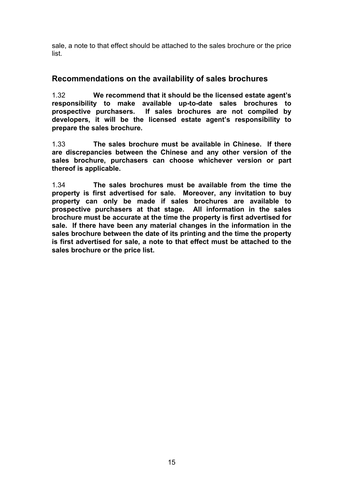sale, a note to that effect should be attached to the sales brochure or the price list.

#### **Recommendations on the availability of sales brochures**

1.32 **We recommend that it should be the licensed estate agent's responsibility to make available up-to-date sales brochures to prospective purchasers. If sales brochures are not compiled by developers, it will be the licensed estate agent's responsibility to prepare the sales brochure.** 

1.33 **The sales brochure must be available in Chinese. If there are discrepancies between the Chinese and any other version of the sales brochure, purchasers can choose whichever version or part thereof is applicable.** 

1.34 **The sales brochures must be available from the time the property is first advertised for sale. Moreover, any invitation to buy property can only be made if sales brochures are available to prospective purchasers at that stage. All information in the sales brochure must be accurate at the time the property is first advertised for sale. If there have been any material changes in the information in the sales brochure between the date of its printing and the time the property is first advertised for sale, a note to that effect must be attached to the sales brochure or the price list.**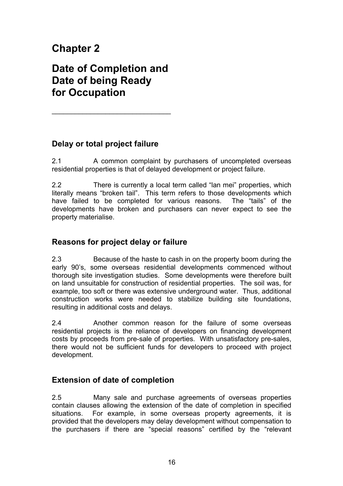# **Chapter 2**

# **Date of Completion and Date of being Ready for Occupation**

 $\overline{\phantom{a}}$  , where  $\overline{\phantom{a}}$  , where  $\overline{\phantom{a}}$  ,  $\overline{\phantom{a}}$  ,  $\overline{\phantom{a}}$  ,  $\overline{\phantom{a}}$  ,  $\overline{\phantom{a}}$  ,  $\overline{\phantom{a}}$  ,  $\overline{\phantom{a}}$  ,  $\overline{\phantom{a}}$  ,  $\overline{\phantom{a}}$  ,  $\overline{\phantom{a}}$  ,  $\overline{\phantom{a}}$  ,  $\overline{\phantom{a}}$  ,  $\overline{\phantom{a}}$  ,

### **Delay or total project failure**

2.1 A common complaint by purchasers of uncompleted overseas residential properties is that of delayed development or project failure.

2.2 There is currently a local term called "lan mei" properties, which literally means "broken tail". This term refers to those developments which have failed to be completed for various reasons. The "tails" of the developments have broken and purchasers can never expect to see the property materialise.

### **Reasons for project delay or failure**

2.3 Because of the haste to cash in on the property boom during the early 90's, some overseas residential developments commenced without thorough site investigation studies. Some developments were therefore built on land unsuitable for construction of residential properties. The soil was, for example, too soft or there was extensive underground water. Thus, additional construction works were needed to stabilize building site foundations, resulting in additional costs and delays.

2.4 Another common reason for the failure of some overseas residential projects is the reliance of developers on financing development costs by proceeds from pre-sale of properties. With unsatisfactory pre-sales, there would not be sufficient funds for developers to proceed with project development.

### **Extension of date of completion**

2.5 Many sale and purchase agreements of overseas properties contain clauses allowing the extension of the date of completion in specified situations. For example, in some overseas property agreements, it is provided that the developers may delay development without compensation to the purchasers if there are "special reasons" certified by the "relevant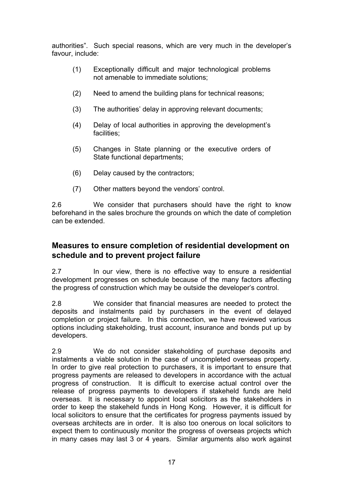authorities". Such special reasons, which are very much in the developer's favour, include:

- (1) Exceptionally difficult and major technological problems not amenable to immediate solutions;
- (2) Need to amend the building plans for technical reasons;
- (3) The authorities' delay in approving relevant documents;
- (4) Delay of local authorities in approving the development's facilities;
- (5) Changes in State planning or the executive orders of State functional departments;
- (6) Delay caused by the contractors;
- (7) Other matters beyond the vendors' control.

2.6 We consider that purchasers should have the right to know beforehand in the sales brochure the grounds on which the date of completion can be extended.

### **Measures to ensure completion of residential development on schedule and to prevent project failure**

2.7 In our view, there is no effective way to ensure a residential development progresses on schedule because of the many factors affecting the progress of construction which may be outside the developer's control.

2.8 We consider that financial measures are needed to protect the deposits and instalments paid by purchasers in the event of delayed completion or project failure. In this connection, we have reviewed various options including stakeholding, trust account, insurance and bonds put up by developers.

2.9 We do not consider stakeholding of purchase deposits and instalments a viable solution in the case of uncompleted overseas property. In order to give real protection to purchasers, it is important to ensure that progress payments are released to developers in accordance with the actual progress of construction. It is difficult to exercise actual control over the release of progress payments to developers if stakeheld funds are held overseas. It is necessary to appoint local solicitors as the stakeholders in order to keep the stakeheld funds in Hong Kong. However, it is difficult for local solicitors to ensure that the certificates for progress payments issued by overseas architects are in order. It is also too onerous on local solicitors to expect them to continuously monitor the progress of overseas projects which in many cases may last 3 or 4 years. Similar arguments also work against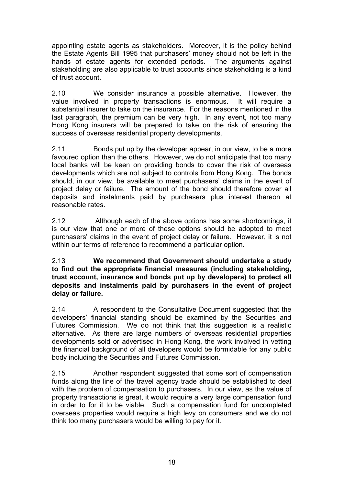appointing estate agents as stakeholders. Moreover, it is the policy behind the Estate Agents Bill 1995 that purchasers' money should not be left in the hands of estate agents for extended periods. The arguments against stakeholding are also applicable to trust accounts since stakeholding is a kind of trust account.

2.10 We consider insurance a possible alternative. However, the value involved in property transactions is enormous. It will require a substantial insurer to take on the insurance. For the reasons mentioned in the last paragraph, the premium can be very high. In any event, not too many Hong Kong insurers will be prepared to take on the risk of ensuring the success of overseas residential property developments.

2.11 Bonds put up by the developer appear, in our view, to be a more favoured option than the others. However, we do not anticipate that too many local banks will be keen on providing bonds to cover the risk of overseas developments which are not subject to controls from Hong Kong. The bonds should, in our view, be available to meet purchasers' claims in the event of project delay or failure. The amount of the bond should therefore cover all deposits and instalments paid by purchasers plus interest thereon at reasonable rates.

2.12 Although each of the above options has some shortcomings, it is our view that one or more of these options should be adopted to meet purchasers' claims in the event of project delay or failure. However, it is not within our terms of reference to recommend a particular option.

#### 2.13 **We recommend that Government should undertake a study to find out the appropriate financial measures (including stakeholding, trust account, insurance and bonds put up by developers) to protect all deposits and instalments paid by purchasers in the event of project delay or failure.**

2.14 A respondent to the Consultative Document suggested that the developers' financial standing should be examined by the Securities and Futures Commission. We do not think that this suggestion is a realistic alternative. As there are large numbers of overseas residential properties developments sold or advertised in Hong Kong, the work involved in vetting the financial background of all developers would be formidable for any public body including the Securities and Futures Commission.

2.15 Another respondent suggested that some sort of compensation funds along the line of the travel agency trade should be established to deal with the problem of compensation to purchasers. In our view, as the value of property transactions is great, it would require a very large compensation fund in order to for it to be viable. Such a compensation fund for uncompleted overseas properties would require a high levy on consumers and we do not think too many purchasers would be willing to pay for it.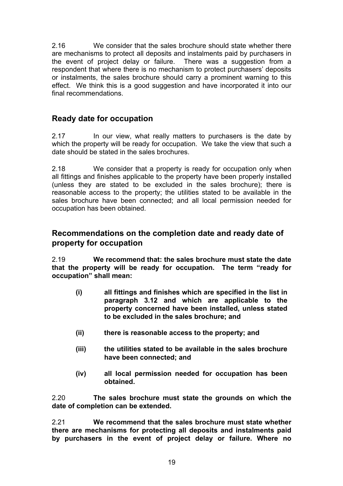2.16 We consider that the sales brochure should state whether there are mechanisms to protect all deposits and instalments paid by purchasers in the event of project delay or failure. There was a suggestion from a respondent that where there is no mechanism to protect purchasers' deposits or instalments, the sales brochure should carry a prominent warning to this effect. We think this is a good suggestion and have incorporated it into our final recommendations.

### **Ready date for occupation**

2.17 In our view, what really matters to purchasers is the date by which the property will be ready for occupation. We take the view that such a date should be stated in the sales brochures.

2.18 We consider that a property is ready for occupation only when all fittings and finishes applicable to the property have been properly installed (unless they are stated to be excluded in the sales brochure); there is reasonable access to the property; the utilities stated to be available in the sales brochure have been connected; and all local permission needed for occupation has been obtained.

#### **Recommendations on the completion date and ready date of property for occupation**

2.19 **We recommend that: the sales brochure must state the date that the property will be ready for occupation. The term "ready for occupation" shall mean:** 

- **(i) all fittings and finishes which are specified in the list in paragraph 3.12 and which are applicable to the property concerned have been installed, unless stated to be excluded in the sales brochure; and**
- **(ii) there is reasonable access to the property; and**
- **(iii) the utilities stated to be available in the sales brochure have been connected; and**
- **(iv) all local permission needed for occupation has been obtained.**

2.20 **The sales brochure must state the grounds on which the date of completion can be extended.** 

2.21 **We recommend that the sales brochure must state whether there are mechanisms for protecting all deposits and instalments paid by purchasers in the event of project delay or failure. Where no**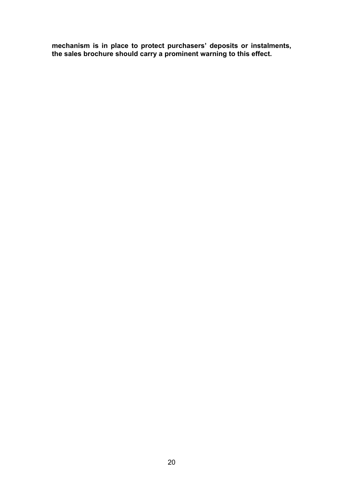**mechanism is in place to protect purchasers' deposits or instalments, the sales brochure should carry a prominent warning to this effect.**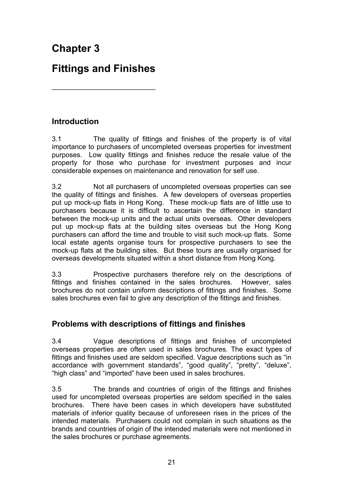# **Chapter 3**

# **Fittings and Finishes**

\_\_\_\_\_\_\_\_\_\_\_\_\_\_\_\_\_\_\_\_\_\_\_\_\_\_\_

**Introduction** 

3.1 The quality of fittings and finishes of the property is of vital importance to purchasers of uncompleted overseas properties for investment purposes. Low quality fittings and finishes reduce the resale value of the property for those who purchase for investment purposes and incur considerable expenses on maintenance and renovation for self use.

3.2 Not all purchasers of uncompleted overseas properties can see the quality of fittings and finishes. A few developers of overseas properties put up mock-up flats in Hong Kong. These mock-up flats are of little use to purchasers because it is difficult to ascertain the difference in standard between the mock-up units and the actual units overseas. Other developers put up mock-up flats at the building sites overseas but the Hong Kong purchasers can afford the time and trouble to visit such mock-up flats. Some local estate agents organise tours for prospective purchasers to see the mock-up flats at the building sites. But these tours are usually organised for overseas developments situated within a short distance from Hong Kong.

3.3 Prospective purchasers therefore rely on the descriptions of fittings and finishes contained in the sales brochures. However, sales brochures do not contain uniform descriptions of fittings and finishes. Some sales brochures even fail to give any description of the fittings and finishes.

### **Problems with descriptions of fittings and finishes**

3.4 Vague descriptions of fittings and finishes of uncompleted overseas properties are often used in sales brochures. The exact types of fittings and finishes used are seldom specified. Vague descriptions such as "in accordance with government standards", "good quality", "pretty", "deluxe", "high class" and "imported" have been used in sales brochures.

3.5 The brands and countries of origin of the fittings and finishes used for uncompleted overseas properties are seldom specified in the sales brochures. There have been cases in which developers have substituted materials of inferior quality because of unforeseen rises in the prices of the intended materials. Purchasers could not complain in such situations as the brands and countries of origin of the intended materials were not mentioned in the sales brochures or purchase agreements.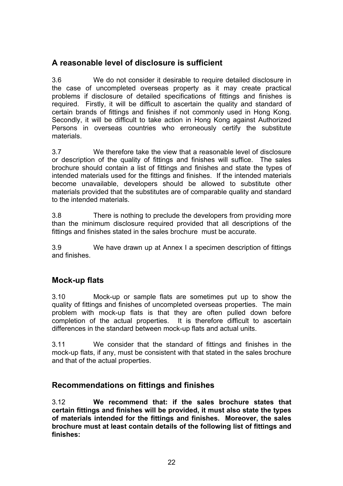### **A reasonable level of disclosure is sufficient**

3.6 We do not consider it desirable to require detailed disclosure in the case of uncompleted overseas property as it may create practical problems if disclosure of detailed specifications of fittings and finishes is required. Firstly, it will be difficult to ascertain the quality and standard of certain brands of fittings and finishes if not commonly used in Hong Kong. Secondly, it will be difficult to take action in Hong Kong against Authorized Persons in overseas countries who erroneously certify the substitute materials.

3.7 We therefore take the view that a reasonable level of disclosure or description of the quality of fittings and finishes will suffice. The sales brochure should contain a list of fittings and finishes and state the types of intended materials used for the fittings and finishes. If the intended materials become unavailable, developers should be allowed to substitute other materials provided that the substitutes are of comparable quality and standard to the intended materials.

3.8 There is nothing to preclude the developers from providing more than the minimum disclosure required provided that all descriptions of the fittings and finishes stated in the sales brochure must be accurate.

3.9 We have drawn up at Annex I a specimen description of fittings and finishes.

### **Mock-up flats**

3.10 Mock-up or sample flats are sometimes put up to show the quality of fittings and finishes of uncompleted overseas properties. The main problem with mock-up flats is that they are often pulled down before completion of the actual properties. It is therefore difficult to ascertain differences in the standard between mock-up flats and actual units.

3.11 We consider that the standard of fittings and finishes in the mock-up flats, if any, must be consistent with that stated in the sales brochure and that of the actual properties.

#### **Recommendations on fittings and finishes**

3.12 **We recommend that: if the sales brochure states that certain fittings and finishes will be provided, it must also state the types of materials intended for the fittings and finishes. Moreover, the sales brochure must at least contain details of the following list of fittings and finishes:**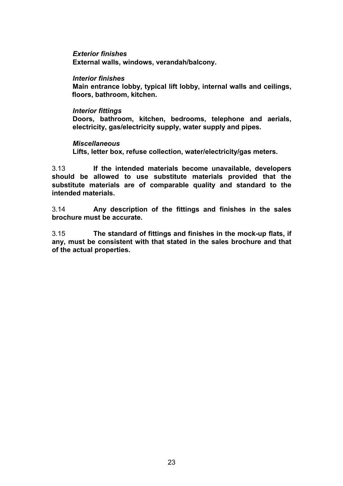*Exterior finishes*  **External walls, windows, verandah/balcony.** 

#### *Interior finishes*

**Main entrance lobby, typical lift lobby, internal walls and ceilings, floors, bathroom, kitchen.** 

#### *Interior fittings*

**Doors, bathroom, kitchen, bedrooms, telephone and aerials, electricity, gas/electricity supply, water supply and pipes.** 

#### *Miscellaneous*

**Lifts, letter box, refuse collection, water/electricity/gas meters.** 

3.13 **If the intended materials become unavailable, developers should be allowed to use substitute materials provided that the substitute materials are of comparable quality and standard to the intended materials.** 

3.14 **Any description of the fittings and finishes in the sales brochure must be accurate.** 

3.15 **The standard of fittings and finishes in the mock-up flats, if any, must be consistent with that stated in the sales brochure and that of the actual properties.**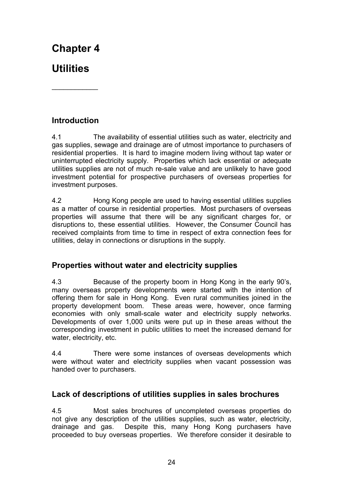# **Chapter 4**

# **Utilities**

## **Introduction**

\_\_\_\_\_\_\_\_\_\_\_\_

4.1 The availability of essential utilities such as water, electricity and gas supplies, sewage and drainage are of utmost importance to purchasers of residential properties. It is hard to imagine modern living without tap water or uninterrupted electricity supply. Properties which lack essential or adequate utilities supplies are not of much re-sale value and are unlikely to have good investment potential for prospective purchasers of overseas properties for investment purposes.

4.2 Hong Kong people are used to having essential utilities supplies as a matter of course in residential properties. Most purchasers of overseas properties will assume that there will be any significant charges for, or disruptions to, these essential utilities. However, the Consumer Council has received complaints from time to time in respect of extra connection fees for utilities, delay in connections or disruptions in the supply.

### **Properties without water and electricity supplies**

4.3 Because of the property boom in Hong Kong in the early 90's, many overseas property developments were started with the intention of offering them for sale in Hong Kong. Even rural communities joined in the property development boom. These areas were, however, once farming economies with only small-scale water and electricity supply networks. Developments of over 1,000 units were put up in these areas without the corresponding investment in public utilities to meet the increased demand for water, electricity, etc.

4.4 There were some instances of overseas developments which were without water and electricity supplies when vacant possession was handed over to purchasers.

### **Lack of descriptions of utilities supplies in sales brochures**

4.5 Most sales brochures of uncompleted overseas properties do not give any description of the utilities supplies, such as water, electricity, drainage and gas. Despite this, many Hong Kong purchasers have proceeded to buy overseas properties. We therefore consider it desirable to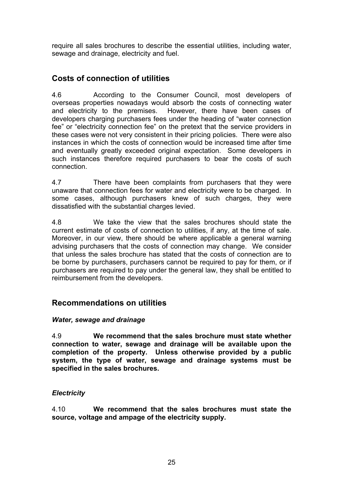require all sales brochures to describe the essential utilities, including water, sewage and drainage, electricity and fuel.

### **Costs of connection of utilities**

4.6 According to the Consumer Council, most developers of overseas properties nowadays would absorb the costs of connecting water and electricity to the premises. However, there have been cases of developers charging purchasers fees under the heading of "water connection fee" or "electricity connection fee" on the pretext that the service providers in these cases were not very consistent in their pricing policies. There were also instances in which the costs of connection would be increased time after time and eventually greatly exceeded original expectation. Some developers in such instances therefore required purchasers to bear the costs of such connection.

4.7 There have been complaints from purchasers that they were unaware that connection fees for water and electricity were to be charged. In some cases, although purchasers knew of such charges, they were dissatisfied with the substantial charges levied.

4.8 We take the view that the sales brochures should state the current estimate of costs of connection to utilities, if any, at the time of sale. Moreover, in our view, there should be where applicable a general warning advising purchasers that the costs of connection may change. We consider that unless the sales brochure has stated that the costs of connection are to be borne by purchasers, purchasers cannot be required to pay for them, or if purchasers are required to pay under the general law, they shall be entitled to reimbursement from the developers.

### **Recommendations on utilities**

#### *Water, sewage and drainage*

4.9 **We recommend that the sales brochure must state whether connection to water, sewage and drainage will be available upon the completion of the property. Unless otherwise provided by a public system, the type of water, sewage and drainage systems must be specified in the sales brochures.** 

#### *Electricity*

4.10 **We recommend that the sales brochures must state the source, voltage and ampage of the electricity supply.**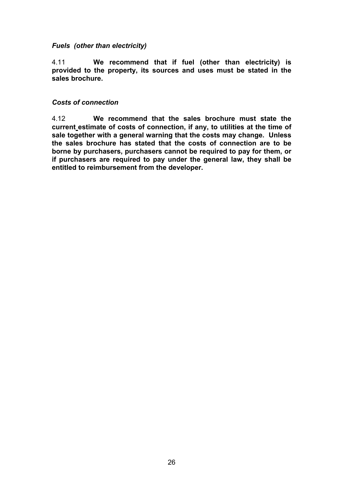#### *Fuels (other than electricity)*

4.11 **We recommend that if fuel (other than electricity) is provided to the property, its sources and uses must be stated in the sales brochure.** 

#### *Costs of connection*

4.12 **We recommend that the sales brochure must state the current estimate of costs of connection, if any, to utilities at the time of sale together with a general warning that the costs may change. Unless the sales brochure has stated that the costs of connection are to be borne by purchasers, purchasers cannot be required to pay for them, or if purchasers are required to pay under the general law, they shall be entitled to reimbursement from the developer.**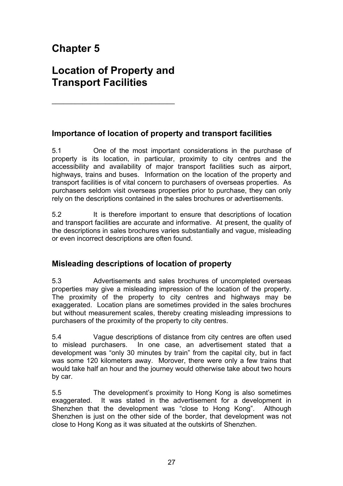# **Chapter 5**

# **Location of Property and Transport Facilities**

 $\overline{\phantom{a}}$  , where  $\overline{\phantom{a}}$  , where  $\overline{\phantom{a}}$  ,  $\overline{\phantom{a}}$  ,  $\overline{\phantom{a}}$  ,  $\overline{\phantom{a}}$  ,  $\overline{\phantom{a}}$  ,  $\overline{\phantom{a}}$  ,  $\overline{\phantom{a}}$  ,  $\overline{\phantom{a}}$  ,  $\overline{\phantom{a}}$  ,  $\overline{\phantom{a}}$  ,  $\overline{\phantom{a}}$  ,  $\overline{\phantom{a}}$  ,  $\overline{\phantom{a}}$  ,

### **Importance of location of property and transport facilities**

5.1 One of the most important considerations in the purchase of property is its location, in particular, proximity to city centres and the accessibility and availability of major transport facilities such as airport, highways, trains and buses. Information on the location of the property and transport facilities is of vital concern to purchasers of overseas properties. As purchasers seldom visit overseas properties prior to purchase, they can only rely on the descriptions contained in the sales brochures or advertisements.

5.2 It is therefore important to ensure that descriptions of location and transport facilities are accurate and informative. At present, the quality of the descriptions in sales brochures varies substantially and vague, misleading or even incorrect descriptions are often found.

### **Misleading descriptions of location of property**

5.3 Advertisements and sales brochures of uncompleted overseas properties may give a misleading impression of the location of the property. The proximity of the property to city centres and highways may be exaggerated. Location plans are sometimes provided in the sales brochures but without measurement scales, thereby creating misleading impressions to purchasers of the proximity of the property to city centres.

5.4 Vague descriptions of distance from city centres are often used to mislead purchasers. In one case, an advertisement stated that a development was "only 30 minutes by train" from the capital city, but in fact was some 120 kilometers away. Morover, there were only a few trains that would take half an hour and the journey would otherwise take about two hours by car.

5.5 The development's proximity to Hong Kong is also sometimes exaggerated. It was stated in the advertisement for a development in Shenzhen that the development was "close to Hong Kong". Although Shenzhen is just on the other side of the border, that development was not close to Hong Kong as it was situated at the outskirts of Shenzhen.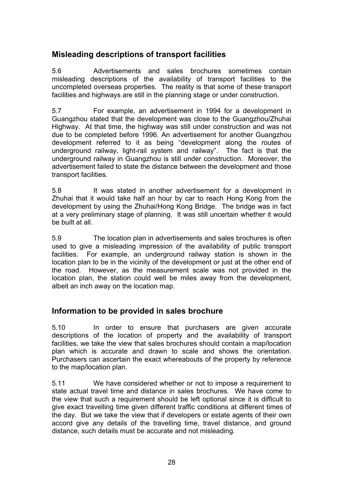### **Misleading descriptions of transport facilities**

5.6 Advertisements and sales brochures sometimes contain misleading descriptions of the availability of transport facilities to the uncompleted overseas properties. The reality is that some of these transport facilities and highways are still in the planning stage or under construction.

5.7 For example, an advertisement in 1994 for a development in Guangzhou stated that the development was close to the Guangzhou/Zhuhai Highway. At that time, the highway was still under construction and was not due to be completed before 1996. An advertisement for another Guangzhou development referred to it as being "development along the routes of underground railway, light-rail system and railway". The fact is that the underground railway in Guangzhou is still under construction. Moreover, the advertisement failed to state the distance between the development and those transport facilities.

5.8 It was stated in another advertisement for a development in Zhuhai that it would take half an hour by car to reach Hong Kong from the development by using the Zhuhai/Hong Kong Bridge. The bridge was in fact at a very preliminary stage of planning. It was still uncertain whether it would be built at all.

5.9 The location plan in advertisements and sales brochures is often used to give a misleading impression of the availability of public transport facilities. For example, an underground railway station is shown in the location plan to be in the vicinity of the development or just at the other end of the road. However, as the measurement scale was not provided in the location plan, the station could well be miles away from the development, albeit an inch away on the location map.

### **Information to be provided in sales brochure**

5.10 In order to ensure that purchasers are given accurate descriptions of the location of property and the availability of transport facilities, we take the view that sales brochures should contain a map/location plan which is accurate and drawn to scale and shows the orientation. Purchasers can ascertain the exact whereabouts of the property by reference to the map/location plan.

5.11 We have considered whether or not to impose a requirement to state actual travel time and distance in sales brochures. We have come to the view that such a requirement should be left optional since it is difficult to give exact travelling time given different traffic conditions at different times of the day. But we take the view that if developers or estate agents of their own accord give any details of the travelling time, travel distance, and ground distance, such details must be accurate and not misleading.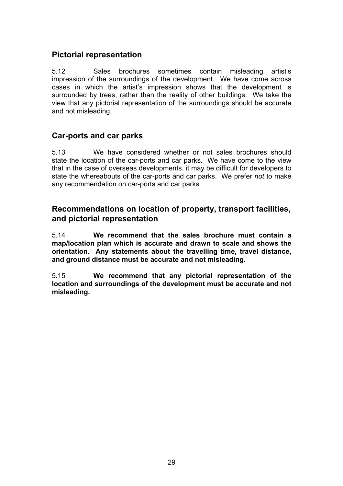### **Pictorial representation**

5.12 Sales brochures sometimes contain misleading artist's impression of the surroundings of the development. We have come across cases in which the artist's impression shows that the development is surrounded by trees, rather than the reality of other buildings. We take the view that any pictorial representation of the surroundings should be accurate and not misleading.

#### **Car-ports and car parks**

5.13 We have considered whether or not sales brochures should state the location of the car-ports and car parks. We have come to the view that in the case of overseas developments, it may be difficult for developers to state the whereabouts of the car-ports and car parks. We prefer *not* to make any recommendation on car-ports and car parks.

#### **Recommendations on location of property, transport facilities, and pictorial representation**

5.14 **We recommend that the sales brochure must contain a map/location plan which is accurate and drawn to scale and shows the orientation. Any statements about the travelling time, travel distance, and ground distance must be accurate and not misleading.** 

5.15 **We recommend that any pictorial representation of the location and surroundings of the development must be accurate and not misleading.**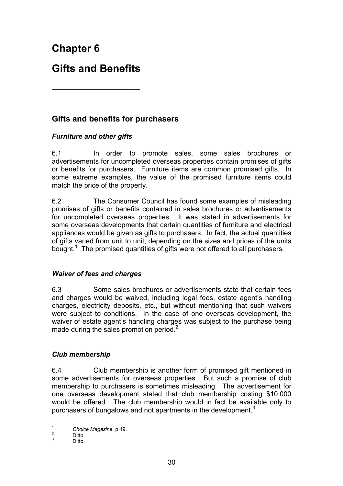**Chapter 6** 

# **Gifts and Benefits**

\_\_\_\_\_\_\_\_\_\_\_\_\_\_\_\_\_\_\_\_\_\_\_

### **Gifts and benefits for purchasers**

#### *Furniture and other gifts*

6.1 In order to promote sales, some sales brochures or advertisements for uncompleted overseas properties contain promises of gifts or benefits for purchasers. Furniture items are common promised gifts. In some extreme examples, the value of the promised furniture items could match the price of the property.

6.2 The Consumer Council has found some examples of misleading promises of gifts or benefits contained in sales brochures or advertisements for uncompleted overseas properties. It was stated in advertisements for some overseas developments that certain quantities of furniture and electrical appliances would be given as gifts to purchasers. In fact, the actual quantities of gifts varied from unit to unit, depending on the sizes and prices of the units bought.<sup>1</sup> The promised quantities of gifts were not offered to all purchasers.

#### *Waiver of fees and charges*

6.3 Some sales brochures or advertisements state that certain fees and charges would be waived, including legal fees, estate agent's handling charges, electricity deposits, etc., but without mentioning that such waivers were subject to conditions. In the case of one overseas development, the waiver of estate agent's handling charges was subject to the purchase being made during the sales promotion period.<sup>2</sup>

#### *Club membership*

6.4 Club membership is another form of promised gift mentioned in some advertisements for overseas properties. But such a promise of club membership to purchasers is sometimes misleading. The advertisement for one overseas development stated that club membership costing \$10,000 would be offered. The club membership would in fact be available only to purchasers of bungalows and not apartments in the development.<sup>3</sup>

 $\overline{1}$ <sup>1</sup> Choice Magazine, p 19.

Ditto. 3

**Ditto**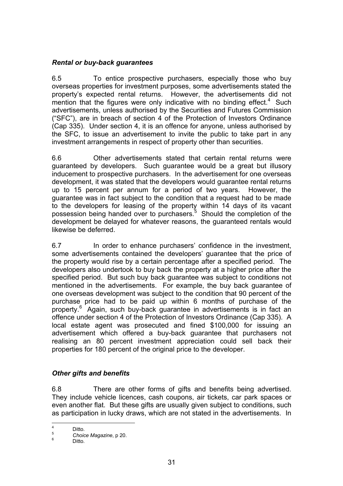### *Rental or buy-back guarantees*

6.5 To entice prospective purchasers, especially those who buy overseas properties for investment purposes, some advertisements stated the property's expected rental returns. However, the advertisements did not mention that the figures were only indicative with no binding effect. $4$  Such advertisements, unless authorised by the Securities and Futures Commission ("SFC"), are in breach of section 4 of the Protection of Investors Ordinance (Cap 335). Under section 4, it is an offence for anyone, unless authorised by the SFC, to issue an advertisement to invite the public to take part in any investment arrangements in respect of property other than securities.

6.6 Other advertisements stated that certain rental returns were guaranteed by developers. Such guarantee would be a great but illusory inducement to prospective purchasers. In the advertisement for one overseas development, it was stated that the developers would guarantee rental returns up to 15 percent per annum for a period of two years. However, the guarantee was in fact subject to the condition that a request had to be made to the developers for leasing of the property within 14 days of its vacant possession being handed over to purchasers.<sup>5</sup> Should the completion of the development be delayed for whatever reasons, the guaranteed rentals would likewise be deferred.

6.7 In order to enhance purchasers' confidence in the investment, some advertisements contained the developers' guarantee that the price of the property would rise by a certain percentage after a specified period. The developers also undertook to buy back the property at a higher price after the specified period. But such buy back guarantee was subject to conditions not mentioned in the advertisements. For example, the buy back guarantee of one overseas development was subject to the condition that 90 percent of the purchase price had to be paid up within 6 months of purchase of the property.<sup>6</sup> Again, such buy-back guarantee in advertisements is in fact an offence under section 4 of the Protection of Investors Ordinance (Cap 335). A local estate agent was prosecuted and fined \$100,000 for issuing an advertisement which offered a buy-back guarantee that purchasers not realising an 80 percent investment appreciation could sell back their properties for 180 percent of the original price to the developer.

### *Other gifts and benefits*

6.8 There are other forms of gifts and benefits being advertised. They include vehicle licences, cash coupons, air tickets, car park spaces or even another flat. But these gifts are usually given subject to conditions, such as participation in lucky draws, which are not stated in the advertisements. In

ــ<br>4  $\frac{4}{5}$  Ditto.

<sup>5</sup> *Choice Magazine*, p 20. 6

Ditto.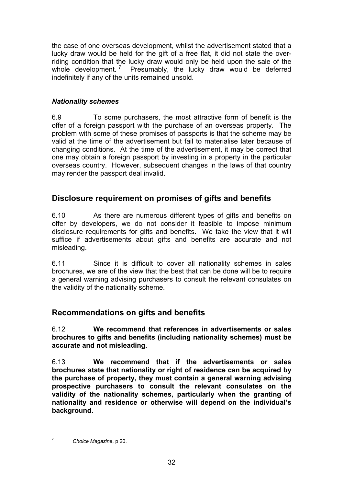the case of one overseas development, whilst the advertisement stated that a lucky draw would be held for the gift of a free flat, it did not state the overriding condition that the lucky draw would only be held upon the sale of the whole development.<sup>7</sup> Presumably, the lucky draw would be deferred indefinitely if any of the units remained unsold.

### *Nationality schemes*

6.9 To some purchasers, the most attractive form of benefit is the offer of a foreign passport with the purchase of an overseas property. The problem with some of these promises of passports is that the scheme may be valid at the time of the advertisement but fail to materialise later because of changing conditions. At the time of the advertisement, it may be correct that one may obtain a foreign passport by investing in a property in the particular overseas country. However, subsequent changes in the laws of that country may render the passport deal invalid.

# **Disclosure requirement on promises of gifts and benefits**

6.10 As there are numerous different types of gifts and benefits on offer by developers, we do not consider it feasible to impose minimum disclosure requirements for gifts and benefits. We take the view that it will suffice if advertisements about gifts and benefits are accurate and not misleading.

6.11 Since it is difficult to cover all nationality schemes in sales brochures, we are of the view that the best that can be done will be to require a general warning advising purchasers to consult the relevant consulates on the validity of the nationality scheme.

# **Recommendations on gifts and benefits**

6.12 **We recommend that references in advertisements or sales brochures to gifts and benefits (including nationality schemes) must be accurate and not misleading.** 

6.13 **We recommend that if the advertisements or sales brochures state that nationality or right of residence can be acquired by the purchase of property, they must contain a general warning advising prospective purchasers to consult the relevant consulates on the validity of the nationality schemes, particularly when the granting of nationality and residence or otherwise will depend on the individual's background.** 

 $\overline{7}$ <sup>7</sup> *Choice Magazine*, p 20.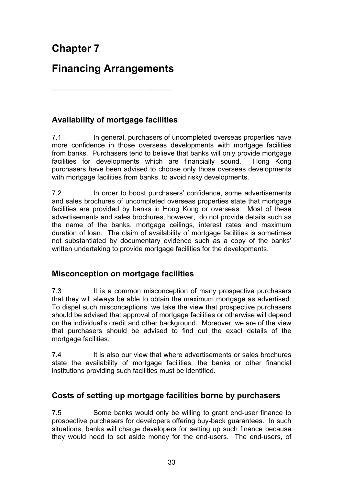# **Financing Arrangements**

 $\overline{\phantom{a}}$  , where  $\overline{\phantom{a}}$  , where  $\overline{\phantom{a}}$  ,  $\overline{\phantom{a}}$  ,  $\overline{\phantom{a}}$  ,  $\overline{\phantom{a}}$  ,  $\overline{\phantom{a}}$  ,  $\overline{\phantom{a}}$  ,  $\overline{\phantom{a}}$  ,  $\overline{\phantom{a}}$  ,  $\overline{\phantom{a}}$  ,  $\overline{\phantom{a}}$  ,  $\overline{\phantom{a}}$  ,  $\overline{\phantom{a}}$  ,  $\overline{\phantom{a}}$  ,

# **Availability of mortgage facilities**

7.1 In general, purchasers of uncompleted overseas properties have more confidence in those overseas developments with mortgage facilities from banks. Purchasers tend to believe that banks will only provide mortgage facilities for developments which are financially sound. Hong Kong purchasers have been advised to choose only those overseas developments with mortgage facilities from banks, to avoid risky developments.

7.2 In order to boost purchasers' confidence, some advertisements and sales brochures of uncompleted overseas properties state that mortgage facilities are provided by banks in Hong Kong or overseas. Most of these advertisements and sales brochures, however, do not provide details such as the name of the banks, mortgage ceilings, interest rates and maximum duration of loan. The claim of availability of mortgage facilities is sometimes not substantiated by documentary evidence such as a copy of the banks' written undertaking to provide mortgage facilities for the developments.

# **Misconception on mortgage facilities**

7.3 It is a common misconception of many prospective purchasers that they will always be able to obtain the maximum mortgage as advertised. To dispel such misconceptions, we take the view that prospective purchasers should be advised that approval of mortgage facilities or otherwise will depend on the individual's credit and other background. Moreover, we are of the view that purchasers should be advised to find out the exact details of the mortgage facilities.

7.4 It is also our view that where advertisements or sales brochures state the availability of mortgage facilities, the banks or other financial institutions providing such facilities must be identified.

# **Costs of setting up mortgage facilities borne by purchasers**

7.5 Some banks would only be willing to grant end-user finance to prospective purchasers for developers offering buy-back guarantees. In such situations, banks will charge developers for setting up such finance because they would need to set aside money for the end-users. The end-users, of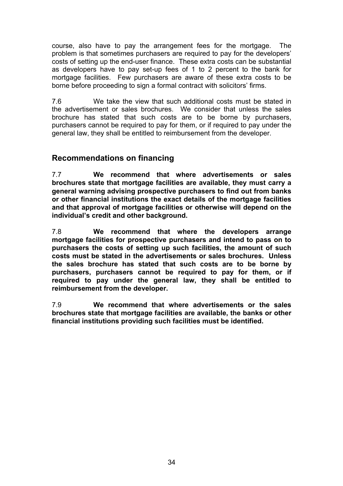course, also have to pay the arrangement fees for the mortgage. The problem is that sometimes purchasers are required to pay for the developers' costs of setting up the end-user finance. These extra costs can be substantial as developers have to pay set-up fees of 1 to 2 percent to the bank for mortgage facilities. Few purchasers are aware of these extra costs to be borne before proceeding to sign a formal contract with solicitors' firms.

7.6 We take the view that such additional costs must be stated in the advertisement or sales brochures. We consider that unless the sales brochure has stated that such costs are to be borne by purchasers, purchasers cannot be required to pay for them, or if required to pay under the general law, they shall be entitled to reimbursement from the developer.

### **Recommendations on financing**

7.7 **We recommend that where advertisements or sales brochures state that mortgage facilities are available, they must carry a general warning advising prospective purchasers to find out from banks or other financial institutions the exact details of the mortgage facilities and that approval of mortgage facilities or otherwise will depend on the individual's credit and other background.**

7.8 **We recommend that where the developers arrange mortgage facilities for prospective purchasers and intend to pass on to purchasers the costs of setting up such facilities, the amount of such costs must be stated in the advertisements or sales brochures. Unless the sales brochure has stated that such costs are to be borne by purchasers, purchasers cannot be required to pay for them, or if required to pay under the general law, they shall be entitled to reimbursement from the developer.** 

7.9 **We recommend that where advertisements or the sales brochures state that mortgage facilities are available, the banks or other financial institutions providing such facilities must be identified.**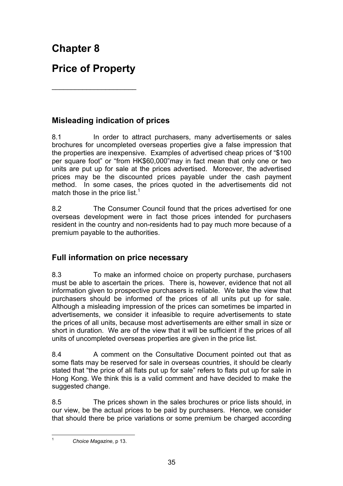**Chapter 8** 

# **Price of Property**

\_\_\_\_\_\_\_\_\_\_\_\_\_\_\_\_\_\_\_\_\_\_

# **Misleading indication of prices**

8.1 In order to attract purchasers, many advertisements or sales brochures for uncompleted overseas properties give a false impression that the properties are inexpensive. Examples of advertised cheap prices of "\$100 per square foot" or "from HK\$60,000"may in fact mean that only one or two units are put up for sale at the prices advertised. Moreover, the advertised prices may be the discounted prices payable under the cash payment method. In some cases, the prices quoted in the advertisements did not match those in the price list.<sup>1</sup>

8.2 The Consumer Council found that the prices advertised for one overseas development were in fact those prices intended for purchasers resident in the country and non-residents had to pay much more because of a premium payable to the authorities.

# **Full information on price necessary**

8.3 To make an informed choice on property purchase, purchasers must be able to ascertain the prices. There is, however, evidence that not all information given to prospective purchasers is reliable. We take the view that purchasers should be informed of the prices of all units put up for sale. Although a misleading impression of the prices can sometimes be imparted in advertisements, we consider it infeasible to require advertisements to state the prices of all units, because most advertisements are either small in size or short in duration. We are of the view that it will be sufficient if the prices of all units of uncompleted overseas properties are given in the price list.

8.4 A comment on the Consultative Document pointed out that as some flats may be reserved for sale in overseas countries, it should be clearly stated that "the price of all flats put up for sale" refers to flats put up for sale in Hong Kong. We think this is a valid comment and have decided to make the suggested change.

8.5 The prices shown in the sales brochures or price lists should, in our view, be the actual prices to be paid by purchasers. Hence, we consider that should there be price variations or some premium be charged according

 $\mathbf{1}$ <sup>1</sup> *Choice Magazine*, p 13.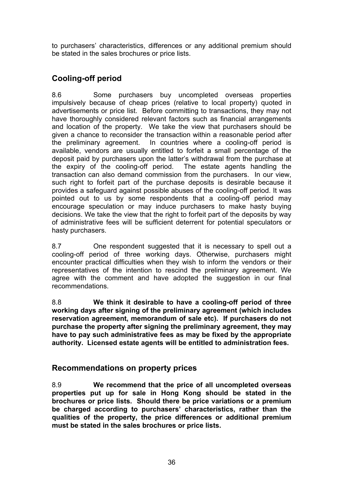to purchasers' characteristics, differences or any additional premium should be stated in the sales brochures or price lists.

# **Cooling-off period**

8.6 Some purchasers buy uncompleted overseas properties impulsively because of cheap prices (relative to local property) quoted in advertisements or price list. Before committing to transactions, they may not have thoroughly considered relevant factors such as financial arrangements and location of the property. We take the view that purchasers should be given a chance to reconsider the transaction within a reasonable period after the preliminary agreement. In countries where a cooling-off period is available, vendors are usually entitled to forfeit a small percentage of the deposit paid by purchasers upon the latter's withdrawal from the purchase at the expiry of the cooling-off period. The estate agents handling the transaction can also demand commission from the purchasers. In our view, such right to forfeit part of the purchase deposits is desirable because it provides a safeguard against possible abuses of the cooling-off period. It was pointed out to us by some respondents that a cooling-off period may encourage speculation or may induce purchasers to make hasty buying decisions. We take the view that the right to forfeit part of the deposits by way of administrative fees will be sufficient deterrent for potential speculators or hasty purchasers.

8.7 One respondent suggested that it is necessary to spell out a cooling-off period of three working days. Otherwise, purchasers might encounter practical difficulties when they wish to inform the vendors or their representatives of the intention to rescind the preliminary agreement. We agree with the comment and have adopted the suggestion in our final recommendations.

8.8 **We think it desirable to have a cooling-off period of three working days after signing of the preliminary agreement (which includes reservation agreement, memorandum of sale etc). If purchasers do not purchase the property after signing the preliminary agreement, they may have to pay such administrative fees as may be fixed by the appropriate authority. Licensed estate agents will be entitled to administration fees.** 

# **Recommendations on property prices**

8.9 **We recommend that the price of all uncompleted overseas properties put up for sale in Hong Kong should be stated in the brochures or price lists. Should there be price variations or a premium be charged according to purchasers' characteristics, rather than the qualities of the property, the price differences or additional premium must be stated in the sales brochures or price lists.**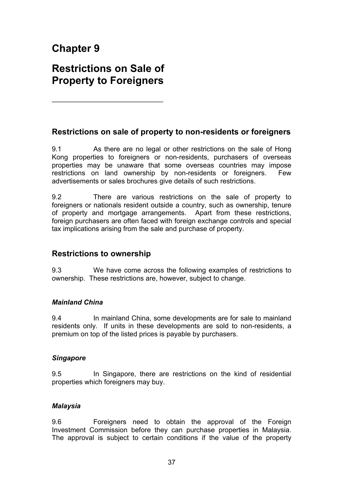# **Chapter 9**

# **Restrictions on Sale of Property to Foreigners**

\_\_\_\_\_\_\_\_\_\_\_\_\_\_\_\_\_\_\_\_\_\_\_\_\_\_\_\_\_

## **Restrictions on sale of property to non-residents or foreigners**

9.1 As there are no legal or other restrictions on the sale of Hong Kong properties to foreigners or non-residents, purchasers of overseas properties may be unaware that some overseas countries may impose restrictions on land ownership by non-residents or foreigners. Few advertisements or sales brochures give details of such restrictions.

9.2 There are various restrictions on the sale of property to foreigners or nationals resident outside a country, such as ownership, tenure of property and mortgage arrangements. Apart from these restrictions, foreign purchasers are often faced with foreign exchange controls and special tax implications arising from the sale and purchase of property.

### **Restrictions to ownership**

9.3 We have come across the following examples of restrictions to ownership. These restrictions are, however, subject to change.

### *Mainland China*

9.4 In mainland China, some developments are for sale to mainland residents only. If units in these developments are sold to non-residents, a premium on top of the listed prices is payable by purchasers.

#### *Singapore*

9.5 In Singapore, there are restrictions on the kind of residential properties which foreigners may buy.

### *Malaysia*

9.6 Foreigners need to obtain the approval of the Foreign Investment Commission before they can purchase properties in Malaysia. The approval is subject to certain conditions if the value of the property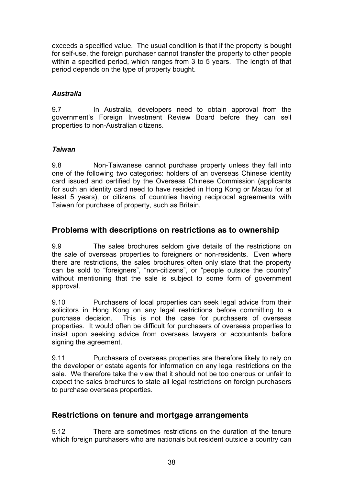exceeds a specified value. The usual condition is that if the property is bought for self-use, the foreign purchaser cannot transfer the property to other people within a specified period, which ranges from 3 to 5 years. The length of that period depends on the type of property bought.

### *Australia*

9.7 In Australia, developers need to obtain approval from the government's Foreign Investment Review Board before they can sell properties to non-Australian citizens.

### *Taiwan*

9.8 Non-Taiwanese cannot purchase property unless they fall into one of the following two categories: holders of an overseas Chinese identity card issued and certified by the Overseas Chinese Commission (applicants for such an identity card need to have resided in Hong Kong or Macau for at least 5 years); or citizens of countries having reciprocal agreements with Taiwan for purchase of property, such as Britain.

# **Problems with descriptions on restrictions as to ownership**

9.9 The sales brochures seldom give details of the restrictions on the sale of overseas properties to foreigners or non-residents. Even where there are restrictions, the sales brochures often only state that the property can be sold to "foreigners", "non-citizens", or "people outside the country" without mentioning that the sale is subject to some form of government approval.

9.10 Purchasers of local properties can seek legal advice from their solicitors in Hong Kong on any legal restrictions before committing to a purchase decision. This is not the case for purchasers of overseas properties. It would often be difficult for purchasers of overseas properties to insist upon seeking advice from overseas lawyers or accountants before signing the agreement.

9.11 Purchasers of overseas properties are therefore likely to rely on the developer or estate agents for information on any legal restrictions on the sale. We therefore take the view that it should not be too onerous or unfair to expect the sales brochures to state all legal restrictions on foreign purchasers to purchase overseas properties.

# **Restrictions on tenure and mortgage arrangements**

9.12 There are sometimes restrictions on the duration of the tenure which foreign purchasers who are nationals but resident outside a country can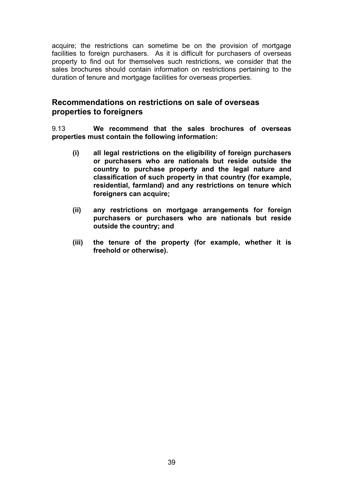acquire; the restrictions can sometime be on the provision of mortgage facilities to foreign purchasers. As it is difficult for purchasers of overseas property to find out for themselves such restrictions, we consider that the sales brochures should contain information on restrictions pertaining to the duration of tenure and mortgage facilities for overseas properties.

### **Recommendations on restrictions on sale of overseas properties to foreigners**

9.13 **We recommend that the sales brochures of overseas properties must contain the following information:** 

- **(i) all legal restrictions on the eligibility of foreign purchasers or purchasers who are nationals but reside outside the country to purchase property and the legal nature and classification of such property in that country (for example, residential, farmland) and any restrictions on tenure which foreigners can acquire;**
- **(ii) any restrictions on mortgage arrangements for foreign purchasers or purchasers who are nationals but reside outside the country; and**
- **(iii) the tenure of the property (for example, whether it is freehold or otherwise).**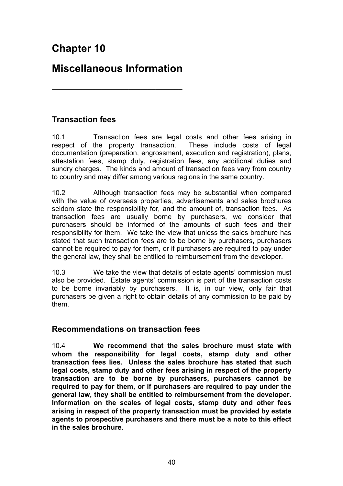# **Chapter 10**

# **Miscellaneous Information**

\_\_\_\_\_\_\_\_\_\_\_\_\_\_\_\_\_\_\_\_\_\_\_\_\_\_\_\_\_\_\_\_\_\_

**Transaction fees** 

10.1 Transaction fees are legal costs and other fees arising in respect of the property transaction. These include costs of legal documentation (preparation, engrossment, execution and registration), plans, attestation fees, stamp duty, registration fees, any additional duties and sundry charges. The kinds and amount of transaction fees vary from country to country and may differ among various regions in the same country.

10.2 Although transaction fees may be substantial when compared with the value of overseas properties, advertisements and sales brochures seldom state the responsibility for, and the amount of, transaction fees. As transaction fees are usually borne by purchasers, we consider that purchasers should be informed of the amounts of such fees and their responsibility for them.We take the view that unless the sales brochure has stated that such transaction fees are to be borne by purchasers, purchasers cannot be required to pay for them, or if purchasers are required to pay under the general law, they shall be entitled to reimbursement from the developer.

10.3 We take the view that details of estate agents' commission must also be provided. Estate agents' commission is part of the transaction costs to be borne invariably by purchasers. It is, in our view, only fair that purchasers be given a right to obtain details of any commission to be paid by them.

### **Recommendations on transaction fees**

10.4 **We recommend that the sales brochure must state with whom the responsibility for legal costs, stamp duty and other transaction fees lies. Unless the sales brochure has stated that such legal costs, stamp duty and other fees arising in respect of the property transaction are to be borne by purchasers, purchasers cannot be required to pay for them, or if purchasers are required to pay under the general law, they shall be entitled to reimbursement from the developer. Information on the scales of legal costs, stamp duty and other fees arising in respect of the property transaction must be provided by estate agents to prospective purchasers and there must be a note to this effect in the sales brochure.**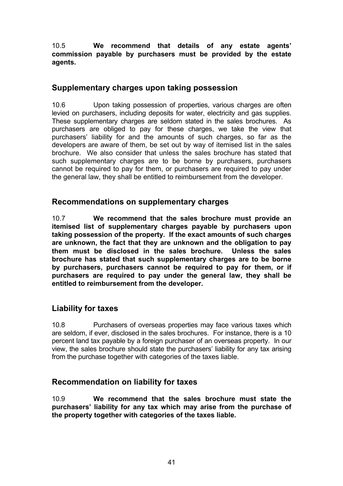10.5 **We recommend that details of any estate agents' commission payable by purchasers must be provided by the estate agents.**

# **Supplementary charges upon taking possession**

10.6 Upon taking possession of properties, various charges are often levied on purchasers, including deposits for water, electricity and gas supplies. These supplementary charges are seldom stated in the sales brochures. As purchasers are obliged to pay for these charges, we take the view that purchasers' liability for and the amounts of such charges, so far as the developers are aware of them, be set out by way of itemised list in the sales brochure. We also consider that unless the sales brochure has stated that such supplementary charges are to be borne by purchasers, purchasers cannot be required to pay for them, or purchasers are required to pay under the general law, they shall be entitled to reimbursement from the developer.

### **Recommendations on supplementary charges**

10.7 **We recommend that the sales brochure must provide an itemised list of supplementary charges payable by purchasers upon taking possession of the property. If the exact amounts of such charges are unknown, the fact that they are unknown and the obligation to pay them must be disclosed in the sales brochure. Unless the sales brochure has stated that such supplementary charges are to be borne by purchasers, purchasers cannot be required to pay for them, or if purchasers are required to pay under the general law, they shall be entitled to reimbursement from the developer.** 

# **Liability for taxes**

10.8 Purchasers of overseas properties may face various taxes which are seldom, if ever, disclosed in the sales brochures. For instance, there is a 10 percent land tax payable by a foreign purchaser of an overseas property. In our view, the sales brochure should state the purchasers' liability for any tax arising from the purchase together with categories of the taxes liable.

# **Recommendation on liability for taxes**

10.9 **We recommend that the sales brochure must state the purchasers' liability for any tax which may arise from the purchase of the property together with categories of the taxes liable.**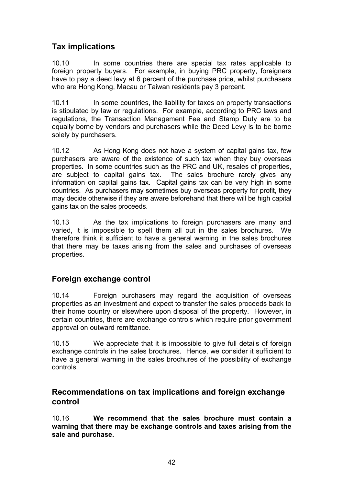# **Tax implications**

10.10 In some countries there are special tax rates applicable to foreign property buyers. For example, in buying PRC property, foreigners have to pay a deed levy at 6 percent of the purchase price, whilst purchasers who are Hong Kong, Macau or Taiwan residents pay 3 percent.

10.11 In some countries, the liability for taxes on property transactions is stipulated by law or regulations. For example, according to PRC laws and regulations, the Transaction Management Fee and Stamp Duty are to be equally borne by vendors and purchasers while the Deed Levy is to be borne solely by purchasers.

10.12 As Hong Kong does not have a system of capital gains tax, few purchasers are aware of the existence of such tax when they buy overseas properties. In some countries such as the PRC and UK, resales of properties, are subject to capital gains tax. The sales brochure rarely gives any information on capital gains tax. Capital gains tax can be very high in some countries. As purchasers may sometimes buy overseas property for profit, they may decide otherwise if they are aware beforehand that there will be high capital gains tax on the sales proceeds.

10.13 As the tax implications to foreign purchasers are many and varied, it is impossible to spell them all out in the sales brochures. We therefore think it sufficient to have a general warning in the sales brochures that there may be taxes arising from the sales and purchases of overseas properties.

# **Foreign exchange control**

10.14 Foreign purchasers may regard the acquisition of overseas properties as an investment and expect to transfer the sales proceeds back to their home country or elsewhere upon disposal of the property. However, in certain countries, there are exchange controls which require prior government approval on outward remittance.

10.15 We appreciate that it is impossible to give full details of foreign exchange controls in the sales brochures. Hence, we consider it sufficient to have a general warning in the sales brochures of the possibility of exchange controls.

## **Recommendations on tax implications and foreign exchange control**

10.16 **We recommend that the sales brochure must contain a warning that there may be exchange controls and taxes arising from the sale and purchase.**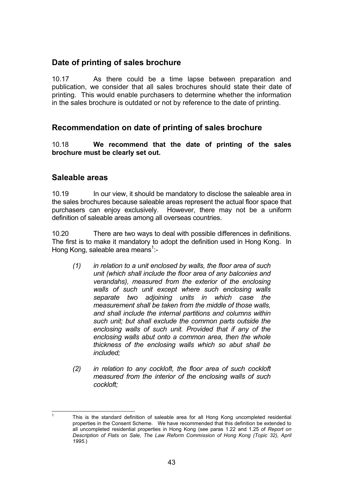## **Date of printing of sales brochure**

10.17As there could be a time lapse between preparation and publication, we consider that all sales brochures should state their date of printing. This would enable purchasers to determine whether the information in the sales brochure is outdated or not by reference to the date of printing.

# **Recommendation on date of printing of sales brochure**

10.18 **We recommend that the date of printing of the sales brochure must be clearly set out.**

### **Saleable areas**

10.19 In our view, it should be mandatory to disclose the saleable area in the sales brochures because saleable areas represent the actual floor space that purchasers can enjoy exclusively. However, there may not be a uniform definition of saleable areas among all overseas countries.

10.20 There are two ways to deal with possible differences in definitions. The first is to make it mandatory to adopt the definition used in Hong Kong. In Hong Kong, saleable area means<sup>1</sup>:-

- *(1) in relation to a unit enclosed by walls, the floor area of such unit (which shall include the floor area of any balconies and verandahs), measured from the exterior of the enclosing walls of such unit except where such enclosing walls separate two adjoining units in which case the measurement shall be taken from the middle of those walls, and shall include the internal partitions and columns within such unit; but shall exclude the common parts outside the enclosing walls of such unit. Provided that if any of the enclosing walls abut onto a common area, then the whole thickness of the enclosing walls which so abut shall be included;*
- *(2) in relation to any cockloft, the floor area of such cockloft measured from the interior of the enclosing walls of such cockloft;*

 $\frac{1}{1}$  This is the standard definition of saleable area for all Hong Kong uncompleted residential properties in the Consent Scheme. We have recommended that this definition be extended to all uncompleted residential properties in Hong Kong (see paras 1.22 and 1.25 of *Report on Description of Flats on Sale, The Law Reform Commission of Hong Kong (Topic 32), April 1995*.)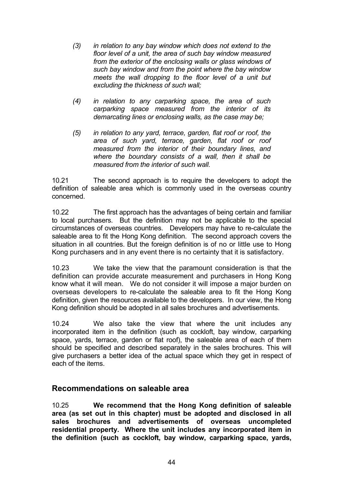- *(3) in relation to any bay window which does not extend to the floor level of a unit, the area of such bay window measured from the exterior of the enclosing walls or glass windows of such bay window and from the point where the bay window meets the wall dropping to the floor level of a unit but excluding the thickness of such wall;*
- *(4) in relation to any carparking space, the area of such carparking space measured from the interior of its demarcating lines or enclosing walls, as the case may be;*
- *(5) in relation to any yard, terrace, garden, flat roof or roof, the area of such yard, terrace, garden, flat roof or roof measured from the interior of their boundary lines, and where the boundary consists of a wall, then it shall be measured from the interior of such wall.*

10.21 The second approach is to require the developers to adopt the definition of saleable area which is commonly used in the overseas country concerned.

10.22 The first approach has the advantages of being certain and familiar to local purchasers. But the definition may not be applicable to the special circumstances of overseas countries. Developers may have to re-calculate the saleable area to fit the Hong Kong definition. The second approach covers the situation in all countries. But the foreign definition is of no or little use to Hong Kong purchasers and in any event there is no certainty that it is satisfactory.

10.23 We take the view that the paramount consideration is that the definition can provide accurate measurement and purchasers in Hong Kong know what it will mean. We do not consider it will impose a major burden on overseas developers to re-calculate the saleable area to fit the Hong Kong definition, given the resources available to the developers. In our view, the Hong Kong definition should be adopted in all sales brochures and advertisements.

10.24 We also take the view that where the unit includes any incorporated item in the definition (such as cockloft, bay window, carparking space, yards, terrace, garden or flat roof), the saleable area of each of them should be specified and described separately in the sales brochures. This will give purchasers a better idea of the actual space which they get in respect of each of the items.

### **Recommendations on saleable area**

10.25 **We recommend that the Hong Kong definition of saleable area (as set out in this chapter) must be adopted and disclosed in all sales brochures and advertisements of overseas uncompleted residential property. Where the unit includes any incorporated item in the definition (such as cockloft, bay window, carparking space, yards,**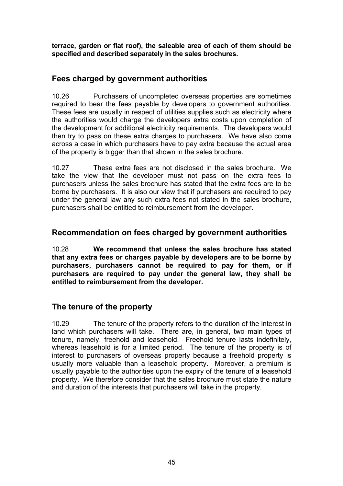**terrace, garden or flat roof), the saleable area of each of them should be specified and described separately in the sales brochures.** 

## **Fees charged by government authorities**

10.26 Purchasers of uncompleted overseas properties are sometimes required to bear the fees payable by developers to government authorities. These fees are usually in respect of utilities supplies such as electricity where the authorities would charge the developers extra costs upon completion of the development for additional electricity requirements. The developers would then try to pass on these extra charges to purchasers. We have also come across a case in which purchasers have to pay extra because the actual area of the property is bigger than that shown in the sales brochure.

10.27 These extra fees are not disclosed in the sales brochure. We take the view that the developer must not pass on the extra fees to purchasers unless the sales brochure has stated that the extra fees are to be borne by purchasers. It is also our view that if purchasers are required to pay under the general law any such extra fees not stated in the sales brochure, purchasers shall be entitled to reimbursement from the developer.

## **Recommendation on fees charged by government authorities**

10.28 **We recommend that unless the sales brochure has stated that any extra fees or charges payable by developers are to be borne by purchasers, purchasers cannot be required to pay for them, or if purchasers are required to pay under the general law, they shall be entitled to reimbursement from the developer.** 

# **The tenure of the property**

10.29 The tenure of the property refers to the duration of the interest in land which purchasers will take. There are, in general, two main types of tenure, namely, freehold and leasehold. Freehold tenure lasts indefinitely, whereas leasehold is for a limited period. The tenure of the property is of interest to purchasers of overseas property because a freehold property is usually more valuable than a leasehold property. Moreover, a premium is usually payable to the authorities upon the expiry of the tenure of a leasehold property. We therefore consider that the sales brochure must state the nature and duration of the interests that purchasers will take in the property.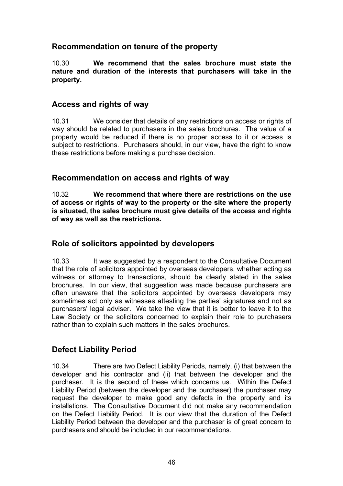# **Recommendation on tenure of the property**

10.30 **We recommend that the sales brochure must state the nature and duration of the interests that purchasers will take in the property.** 

## **Access and rights of way**

10.31 We consider that details of any restrictions on access or rights of way should be related to purchasers in the sales brochures. The value of a property would be reduced if there is no proper access to it or access is subject to restrictions. Purchasers should, in our view, have the right to know these restrictions before making a purchase decision.

## **Recommendation on access and rights of way**

10.32 **We recommend that where there are restrictions on the use of access or rights of way to the property or the site where the property is situated, the sales brochure must give details of the access and rights of way as well as the restrictions.** 

# **Role of solicitors appointed by developers**

10.33 It was suggested by a respondent to the Consultative Document that the role of solicitors appointed by overseas developers, whether acting as witness or attorney to transactions, should be clearly stated in the sales brochures. In our view, that suggestion was made because purchasers are often unaware that the solicitors appointed by overseas developers may sometimes act only as witnesses attesting the parties' signatures and not as purchasers' legal adviser. We take the view that it is better to leave it to the Law Society or the solicitors concerned to explain their role to purchasers rather than to explain such matters in the sales brochures.

# **Defect Liability Period**

10.34 There are two Defect Liability Periods, namely, (i) that between the developer and his contractor and (ii) that between the developer and the purchaser. It is the second of these which concerns us. Within the Defect Liability Period (between the developer and the purchaser) the purchaser may request the developer to make good any defects in the property and its installations. The Consultative Document did not make any recommendation on the Defect Liability Period. It is our view that the duration of the Defect Liability Period between the developer and the purchaser is of great concern to purchasers and should be included in our recommendations.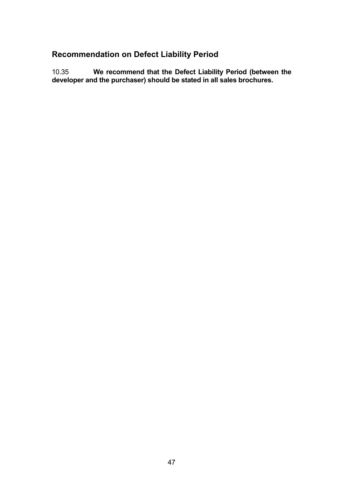# **Recommendation on Defect Liability Period**

10.35 **We recommend that the Defect Liability Period (between the developer and the purchaser) should be stated in all sales brochures.**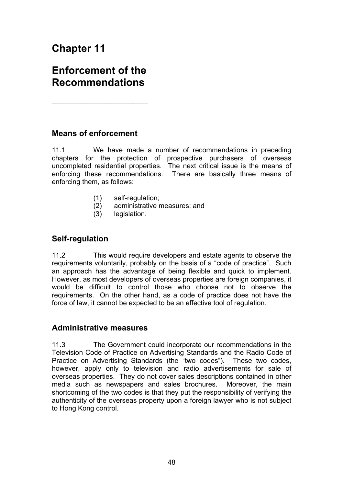# **Chapter 11**

# **Enforcement of the Recommendations**

 $\overline{\phantom{a}}$  , where  $\overline{\phantom{a}}$  , where  $\overline{\phantom{a}}$  , where  $\overline{\phantom{a}}$  , where  $\overline{\phantom{a}}$ 

## **Means of enforcement**

11.1 We have made a number of recommendations in preceding chapters for the protection of prospective purchasers of overseas uncompleted residential properties. The next critical issue is the means of enforcing these recommendations. There are basically three means of enforcing them, as follows:

- (1) self-regulation;
- (2) administrative measures; and
- (3) legislation.

### **Self-regulation**

11.2 This would require developers and estate agents to observe the requirements voluntarily, probably on the basis of a "code of practice". Such an approach has the advantage of being flexible and quick to implement. However, as most developers of overseas properties are foreign companies, it would be difficult to control those who choose not to observe the requirements. On the other hand, as a code of practice does not have the force of law, it cannot be expected to be an effective tool of regulation.

### **Administrative measures**

11.3 The Government could incorporate our recommendations in the Television Code of Practice on Advertising Standards and the Radio Code of Practice on Advertising Standards (the "two codes"). These two codes, however, apply only to television and radio advertisements for sale of overseas properties. They do not cover sales descriptions contained in other media such as newspapers and sales brochures. Moreover, the main shortcoming of the two codes is that they put the responsibility of verifying the authenticity of the overseas property upon a foreign lawyer who is not subject to Hong Kong control.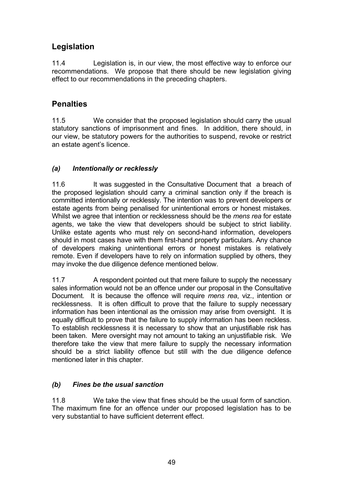# **Legislation**

11.4 Legislation is, in our view, the most effective way to enforce our recommendations. We propose that there should be new legislation giving effect to our recommendations in the preceding chapters.

# **Penalties**

11.5 We consider that the proposed legislation should carry the usual statutory sanctions of imprisonment and fines. In addition, there should, in our view, be statutory powers for the authorities to suspend, revoke or restrict an estate agent's licence.

## *(a) Intentionally or recklessly*

11.6 It was suggested in the Consultative Document that a breach of the proposed legislation should carry a criminal sanction only if the breach is committed intentionally or recklessly. The intention was to prevent developers or estate agents from being penalised for unintentional errors or honest mistakes. Whilst we agree that intention or recklessness should be the *mens rea* for estate agents, we take the view that developers should be subject to strict liability. Unlike estate agents who must rely on second-hand information, developers should in most cases have with them first-hand property particulars. Any chance of developers making unintentional errors or honest mistakes is relatively remote. Even if developers have to rely on information supplied by others, they may invoke the due diligence defence mentioned below.

11.7 A respondent pointed out that mere failure to supply the necessary sales information would not be an offence under our proposal in the Consultative Document. It is because the offence will require *mens rea*, viz., intention or recklessness. It is often difficult to prove that the failure to supply necessary information has been intentional as the omission may arise from oversight. It is equally difficult to prove that the failure to supply information has been reckless. To establish recklessness it is necessary to show that an unjustifiable risk has been taken. Mere oversight may not amount to taking an unjustifiable risk. We therefore take the view that mere failure to supply the necessary information should be a strict liability offence but still with the due diligence defence mentioned later in this chapter.

### *(b) Fines be the usual sanction*

11.8 We take the view that fines should be the usual form of sanction. The maximum fine for an offence under our proposed legislation has to be very substantial to have sufficient deterrent effect.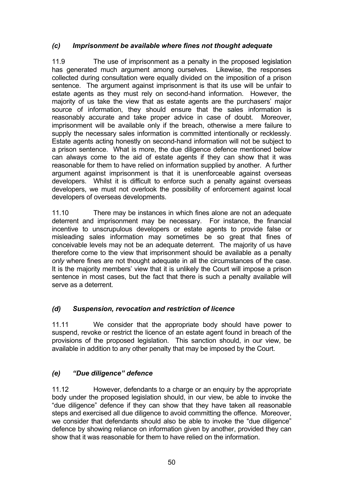### *(c) Imprisonment be available where fines not thought adequate*

11.9 The use of imprisonment as a penalty in the proposed legislation has generated much argument among ourselves. Likewise, the responses collected during consultation were equally divided on the imposition of a prison sentence. The argument against imprisonment is that its use will be unfair to estate agents as they must rely on second-hand information. However, the majority of us take the view that as estate agents are the purchasers' major source of information, they should ensure that the sales information is reasonably accurate and take proper advice in case of doubt. Moreover, imprisonment will be available only if the breach, otherwise a mere failure to supply the necessary sales information is committed intentionally or recklessly. Estate agents acting honestly on second-hand information will not be subject to a prison sentence. What is more, the due diligence defence mentioned below can always come to the aid of estate agents if they can show that it was reasonable for them to have relied on information supplied by another. A further argument against imprisonment is that it is unenforceable against overseas developers. Whilst it is difficult to enforce such a penalty against overseas developers, we must not overlook the possibility of enforcement against local developers of overseas developments.

11.10 There may be instances in which fines alone are not an adequate deterrent and imprisonment may be necessary. For instance, the financial incentive to unscrupulous developers or estate agents to provide false or misleading sales information may sometimes be so great that fines of conceivable levels may not be an adequate deterrent. The majority of us have therefore come to the view that imprisonment should be available as a penalty *only* where fines are not thought adequate in all the circumstances of the case. It is the majority members' view that it is unlikely the Court will impose a prison sentence in most cases, but the fact that there is such a penalty available will serve as a deterrent.

### *(d) Suspension, revocation and restriction of licence*

11.11 We consider that the appropriate body should have power to suspend, revoke or restrict the licence of an estate agent found in breach of the provisions of the proposed legislation. This sanction should, in our view, be available in addition to any other penalty that may be imposed by the Court.

### *(e) "Due diligence" defence*

11.12 However, defendants to a charge or an enquiry by the appropriate body under the proposed legislation should, in our view, be able to invoke the "due diligence" defence if they can show that they have taken all reasonable steps and exercised all due diligence to avoid committing the offence. Moreover, we consider that defendants should also be able to invoke the "due diligence" defence by showing reliance on information given by another, provided they can show that it was reasonable for them to have relied on the information.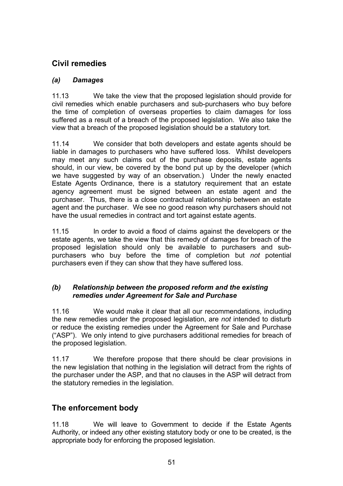# **Civil remedies**

## *(a) Damages*

11.13 We take the view that the proposed legislation should provide for civil remedies which enable purchasers and sub-purchasers who buy before the time of completion of overseas properties to claim damages for loss suffered as a result of a breach of the proposed legislation. We also take the view that a breach of the proposed legislation should be a statutory tort.

11.14 We consider that both developers and estate agents should be liable in damages to purchasers who have suffered loss. Whilst developers may meet any such claims out of the purchase deposits, estate agents should, in our view, be covered by the bond put up by the developer (which we have suggested by way of an observation.) Under the newly enacted Estate Agents Ordinance, there is a statutory requirement that an estate agency agreement must be signed between an estate agent and the purchaser. Thus, there is a close contractual relationship between an estate agent and the purchaser. We see no good reason why purchasers should not have the usual remedies in contract and tort against estate agents.

11.15 In order to avoid a flood of claims against the developers or the estate agents, we take the view that this remedy of damages for breach of the proposed legislation should only be available to purchasers and subpurchasers who buy before the time of completion but *not* potential purchasers even if they can show that they have suffered loss.

### *(b) Relationship between the proposed reform and the existing remedies under Agreement for Sale and Purchase*

11.16 We would make it clear that all our recommendations, including the new remedies under the proposed legislation, are *not* intended to disturb or reduce the existing remedies under the Agreement for Sale and Purchase ("ASP"). We only intend to give purchasers additional remedies for breach of the proposed legislation.

11.17 We therefore propose that there should be clear provisions in the new legislation that nothing in the legislation will detract from the rights of the purchaser under the ASP, and that no clauses in the ASP will detract from the statutory remedies in the legislation.

# **The enforcement body**

11.18 We will leave to Government to decide if the Estate Agents Authority, or indeed any other existing statutory body or one to be created, is the appropriate body for enforcing the proposed legislation.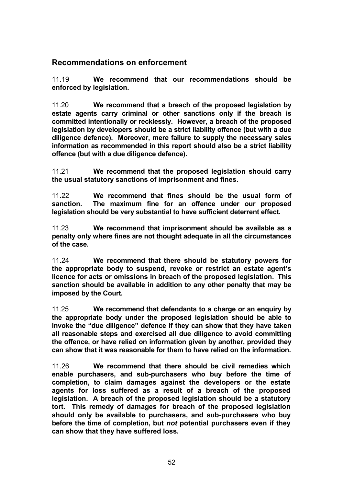### **Recommendations on enforcement**

11.19 **We recommend that our recommendations should be enforced by legislation.** 

11.20 **We recommend that a breach of the proposed legislation by estate agents carry criminal or other sanctions only if the breach is committed intentionally or recklessly. However, a breach of the proposed legislation by developers should be a strict liability offence (but with a due diligence defence). Moreover, mere failure to supply the necessary sales information as recommended in this report should also be a strict liability offence (but with a due diligence defence).** 

11.21 **We recommend that the proposed legislation should carry the usual statutory sanctions of imprisonment and fines.**

11.22 **We recommend that fines should be the usual form of**  The maximum fine for an offence under our proposed **legislation should be very substantial to have sufficient deterrent effect.** 

11.23 **We recommend that imprisonment should be available as a penalty only where fines are not thought adequate in all the circumstances of the case.**

11.24 **We recommend that there should be statutory powers for the appropriate body to suspend, revoke or restrict an estate agent's licence for acts or omissions in breach of the proposed legislation. This sanction should be available in addition to any other penalty that may be imposed by the Court.**

11.25 **We recommend that defendants to a charge or an enquiry by the appropriate body under the proposed legislation should be able to invoke the "due diligence" defence if they can show that they have taken all reasonable steps and exercised all due diligence to avoid committing the offence, or have relied on information given by another, provided they can show that it was reasonable for them to have relied on the information.** 

11.26 **We recommend that there should be civil remedies which enable purchasers, and sub-purchasers who buy before the time of completion, to claim damages against the developers or the estate agents for loss suffered as a result of a breach of the proposed legislation. A breach of the proposed legislation should be a statutory tort. This remedy of damages for breach of the proposed legislation should only be available to purchasers, and sub-purchasers who buy before the time of completion, but** *not* **potential purchasers even if they can show that they have suffered loss.**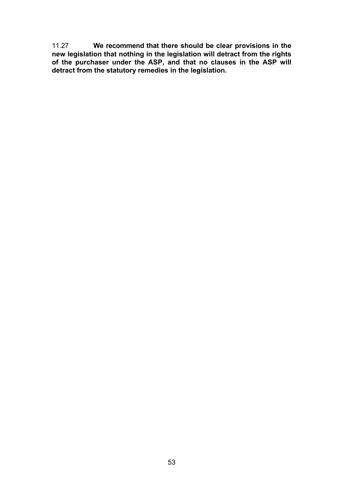11.27 **We recommend that there should be clear provisions in the new legislation that nothing in the legislation will detract from the rights of the purchaser under the ASP, and that no clauses in the ASP will detract from the statutory remedies in the legislation.**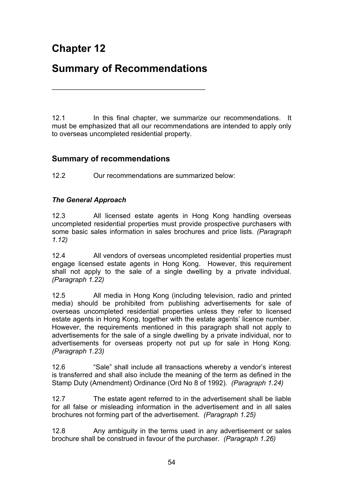# **Chapter 12**

# **Summary of Recommendations**

\_\_\_\_\_\_\_\_\_\_\_\_\_\_\_\_\_\_\_\_\_\_\_\_\_\_\_\_\_\_\_\_\_\_\_\_\_\_\_\_

12.1 In this final chapter, we summarize our recommendations. It must be emphasized that all our recommendations are intended to apply only to overseas uncompleted residential property.

## **Summary of recommendations**

12.2Our recommendations are summarized below:

### *The General Approach*

12.3 All licensed estate agents in Hong Kong handling overseas uncompleted residential properties must provide prospective purchasers with some basic sales information in sales brochures and price lists. *(Paragraph 1.12)*

12.4 All vendors of overseas uncompleted residential properties must engage licensed estate agents in Hong Kong. However, this requirement shall not apply to the sale of a single dwelling by a private individual. *(Paragraph 1.22)*

12.5 All media in Hong Kong (including television, radio and printed media) should be prohibited from publishing advertisements for sale of overseas uncompleted residential properties unless they refer to licensed estate agents in Hong Kong, together with the estate agents' licence number. However, the requirements mentioned in this paragraph shall not apply to advertisements for the sale of a single dwelling by a private individual, nor to advertisements for overseas property not put up for sale in Hong Kong. *(Paragraph 1.23)* 

12.6 "Sale" shall include all transactions whereby a vendor's interest is transferred and shall also include the meaning of the term as defined in the Stamp Duty (Amendment) Ordinance (Ord No 8 of 1992). *(Paragraph 1.24)*

12.7 The estate agent referred to in the advertisement shall be liable for all false or misleading information in the advertisement and in all sales brochures not forming part of the advertisement. *(Paragraph 1.25)*

12.8 Any ambiguity in the terms used in any advertisement or sales brochure shall be construed in favour of the purchaser. *(Paragraph 1.26)*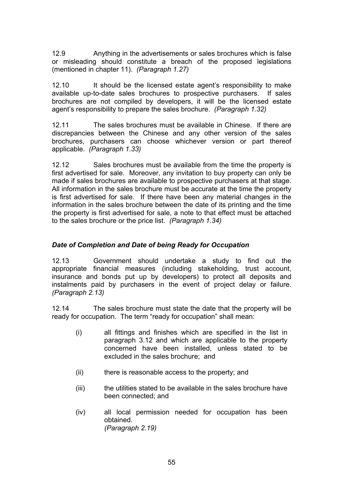12.9 Anything in the advertisements or sales brochures which is false or misleading should constitute a breach of the proposed legislations (mentioned in chapter 11). *(Paragraph 1.27)*

12.10 It should be the licensed estate agent's responsibility to make available up-to-date sales brochures to prospective purchasers. If sales brochures are not compiled by developers, it will be the licensed estate agent's responsibility to prepare the sales brochure. *(Paragraph 1.32)* 

12.11 The sales brochures must be available in Chinese. If there are discrepancies between the Chinese and any other version of the sales brochures, purchasers can choose whichever version or part thereof applicable. *(Paragraph 1.33)* 

12.12 Sales brochures must be available from the time the property is first advertised for sale. Moreover, any invitation to buy property can only be made if sales brochures are available to prospective purchasers at that stage. All information in the sales brochure must be accurate at the time the property is first advertised for sale. If there have been any material changes in the information in the sales brochure between the date of its printing and the time the property is first advertised for sale, a note to that effect must be attached to the sales brochure or the price list. *(Paragraph 1.34)* 

### *Date of Completion and Date of being Ready for Occupation*

12.13 Government should undertake a study to find out the appropriate financial measures (including stakeholding, trust account, insurance and bonds put up by developers) to protect all deposits and instalments paid by purchasers in the event of project delay or failure. *(Paragraph 2.13)* 

12.14 The sales brochure must state the date that the property will be ready for occupation. The term "ready for occupation" shall mean:

- (i) all fittings and finishes which are specified in the list in paragraph 3.12 and which are applicable to the property concerned have been installed, unless stated to be excluded in the sales brochure; and
- (ii) there is reasonable access to the property; and
- (iii) the utilities stated to be available in the sales brochure have been connected; and
- (iv) all local permission needed for occupation has been obtained. *(Paragraph 2.19)*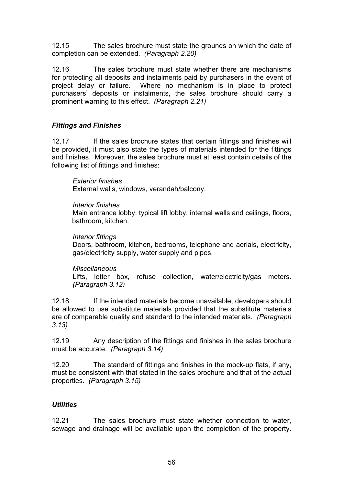12.15 The sales brochure must state the grounds on which the date of completion can be extended. *(Paragraph 2.20)*

12.16 The sales brochure must state whether there are mechanisms for protecting all deposits and instalments paid by purchasers in the event of project delay or failure. Where no mechanism is in place to protect purchasers' deposits or instalments, the sales brochure should carry a prominent warning to this effect. *(Paragraph 2.21)*

### *Fittings and Finishes*

12.17 If the sales brochure states that certain fittings and finishes will be provided, it must also state the types of materials intended for the fittings and finishes. Moreover, the sales brochure must at least contain details of the following list of fittings and finishes:

*Exterior finishes*  External walls, windows, verandah/balcony.

#### *Interior finishes*

Main entrance lobby, typical lift lobby, internal walls and ceilings, floors, bathroom, kitchen.

#### *Interior fittings*

Doors, bathroom, kitchen, bedrooms, telephone and aerials, electricity, gas/electricity supply, water supply and pipes.

#### *Miscellaneous*

Lifts, letter box, refuse collection, water/electricity/gas meters. *(Paragraph 3.12)*

12.18 If the intended materials become unavailable, developers should be allowed to use substitute materials provided that the substitute materials are of comparable quality and standard to the intended materials. *(Paragraph 3.13)*

12.19 Any description of the fittings and finishes in the sales brochure must be accurate. *(Paragraph 3.14)*

12.20 The standard of fittings and finishes in the mock-up flats, if any, must be consistent with that stated in the sales brochure and that of the actual properties. *(Paragraph 3.15)*

#### *Utilities*

12.21 The sales brochure must state whether connection to water, sewage and drainage will be available upon the completion of the property.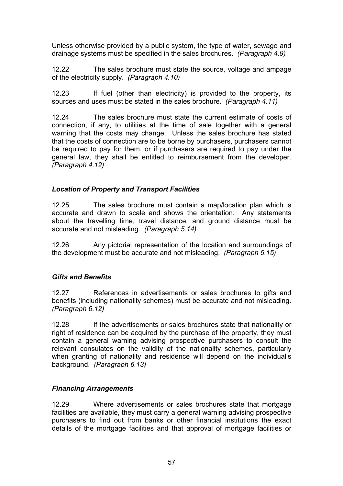Unless otherwise provided by a public system, the type of water, sewage and drainage systems must be specified in the sales brochures. *(Paragraph 4.9)*

12.22 The sales brochure must state the source, voltage and ampage of the electricity supply. *(Paragraph 4.10)*

12.23 If fuel (other than electricity) is provided to the property, its sources and uses must be stated in the sales brochure. *(Paragraph 4.11)*

12.24 The sales brochure must state the current estimate of costs of connection, if any, to utilities at the time of sale together with a general warning that the costs may change. Unless the sales brochure has stated that the costs of connection are to be borne by purchasers, purchasers cannot be required to pay for them, or if purchasers are required to pay under the general law, they shall be entitled to reimbursement from the developer. *(Paragraph 4.12)*

### *Location of Property and Transport Facilities*

12.25 The sales brochure must contain a map/location plan which is accurate and drawn to scale and shows the orientation. Any statements about the travelling time, travel distance, and ground distance must be accurate and not misleading. *(Paragraph 5.14)*

12.26 Any pictorial representation of the location and surroundings of the development must be accurate and not misleading. *(Paragraph 5.15)*

### *Gifts and Benefits*

12.27 References in advertisements or sales brochures to gifts and benefits (including nationality schemes) must be accurate and not misleading. *(Paragraph 6.12)* 

12.28 If the advertisements or sales brochures state that nationality or right of residence can be acquired by the purchase of the property, they must contain a general warning advising prospective purchasers to consult the relevant consulates on the validity of the nationality schemes, particularly when granting of nationality and residence will depend on the individual's background. *(Paragraph 6.13)* 

### *Financing Arrangements*

12.29 Where advertisements or sales brochures state that mortgage facilities are available, they must carry a general warning advising prospective purchasers to find out from banks or other financial institutions the exact details of the mortgage facilities and that approval of mortgage facilities or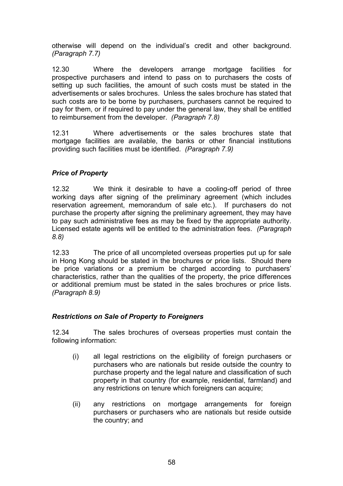otherwise will depend on the individual's credit and other background. *(Paragraph 7.7)* 

12.30 Where the developers arrange mortgage facilities for prospective purchasers and intend to pass on to purchasers the costs of setting up such facilities, the amount of such costs must be stated in the advertisements or sales brochures. Unless the sales brochure has stated that such costs are to be borne by purchasers, purchasers cannot be required to pay for them, or if required to pay under the general law, they shall be entitled to reimbursement from the developer. *(Paragraph 7.8)*

12.31 Where advertisements or the sales brochures state that mortgage facilities are available, the banks or other financial institutions providing such facilities must be identified. *(Paragraph 7.9)* 

### *Price of Property*

12.32 We think it desirable to have a cooling-off period of three working days after signing of the preliminary agreement (which includes reservation agreement, memorandum of sale etc.). If purchasers do not purchase the property after signing the preliminary agreement, they may have to pay such administrative fees as may be fixed by the appropriate authority. Licensed estate agents will be entitled to the administration fees. *(Paragraph 8.8)*

12.33 The price of all uncompleted overseas properties put up for sale in Hong Kong should be stated in the brochures or price lists. Should there be price variations or a premium be charged according to purchasers' characteristics, rather than the qualities of the property, the price differences or additional premium must be stated in the sales brochures or price lists. *(Paragraph 8.9)* 

#### *Restrictions on Sale of Property to Foreigners*

12.34 The sales brochures of overseas properties must contain the following information:

- (i) all legal restrictions on the eligibility of foreign purchasers or purchasers who are nationals but reside outside the country to purchase property and the legal nature and classification of such property in that country (for example, residential, farmland) and any restrictions on tenure which foreigners can acquire;
- (ii) any restrictions on mortgage arrangements for foreign purchasers or purchasers who are nationals but reside outside the country; and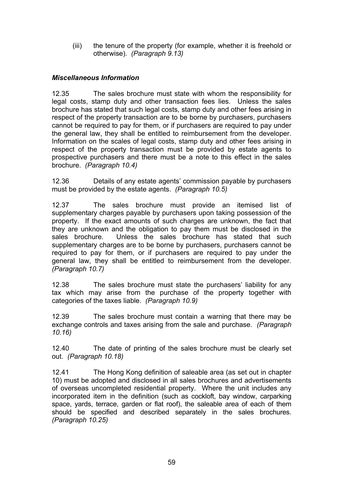(iii) the tenure of the property (for example, whether it is freehold or otherwise). *(Paragraph 9.13)*

### *Miscellaneous Information*

12.35 The sales brochure must state with whom the responsibility for legal costs, stamp duty and other transaction fees lies. Unless the sales brochure has stated that such legal costs, stamp duty and other fees arising in respect of the property transaction are to be borne by purchasers, purchasers cannot be required to pay for them, or if purchasers are required to pay under the general law, they shall be entitled to reimbursement from the developer. Information on the scales of legal costs, stamp duty and other fees arising in respect of the property transaction must be provided by estate agents to prospective purchasers and there must be a note to this effect in the sales brochure. *(Paragraph 10.4)*

12.36 Details of any estate agents' commission payable by purchasers must be provided by the estate agents. *(Paragraph 10.5)*

12.37 The sales brochure must provide an itemised list of supplementary charges payable by purchasers upon taking possession of the property. If the exact amounts of such charges are unknown, the fact that they are unknown and the obligation to pay them must be disclosed in the sales brochure. Unless the sales brochure has stated that such supplementary charges are to be borne by purchasers, purchasers cannot be required to pay for them, or if purchasers are required to pay under the general law, they shall be entitled to reimbursement from the developer. *(Paragraph 10.7)*

12.38 The sales brochure must state the purchasers' liability for any tax which may arise from the purchase of the property together with categories of the taxes liable. *(Paragraph 10.9)* 

12.39 The sales brochure must contain a warning that there may be exchange controls and taxes arising from the sale and purchase. *(Paragraph 10.16)* 

12.40 The date of printing of the sales brochure must be clearly set out. *(Paragraph 10.18)*

12.41 The Hong Kong definition of saleable area (as set out in chapter 10) must be adopted and disclosed in all sales brochures and advertisements of overseas uncompleted residential property. Where the unit includes any incorporated item in the definition (such as cockloft, bay window, carparking space, yards, terrace, garden or flat roof), the saleable area of each of them should be specified and described separately in the sales brochures. *(Paragraph 10.25)*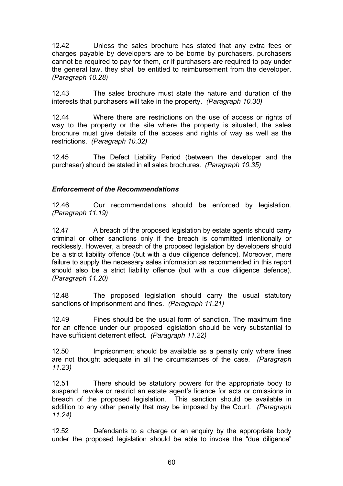12.42 Unless the sales brochure has stated that any extra fees or charges payable by developers are to be borne by purchasers, purchasers cannot be required to pay for them, or if purchasers are required to pay under the general law, they shall be entitled to reimbursement from the developer. *(Paragraph 10.28)* 

12.43 The sales brochure must state the nature and duration of the interests that purchasers will take in the property. *(Paragraph 10.30)*

12.44 Where there are restrictions on the use of access or rights of way to the property or the site where the property is situated, the sales brochure must give details of the access and rights of way as well as the restrictions. *(Paragraph 10.32)* 

12.45The Defect Liability Period (between the developer and the purchaser) should be stated in all sales brochures. *(Paragraph 10.35)* 

### *Enforcement of the Recommendations*

12.46 Our recommendations should be enforced by legislation. *(Paragraph 11.19)* 

12.47 A breach of the proposed legislation by estate agents should carry criminal or other sanctions only if the breach is committed intentionally or recklessly. However, a breach of the proposed legislation by developers should be a strict liability offence (but with a due diligence defence). Moreover, mere failure to supply the necessary sales information as recommended in this report should also be a strict liability offence (but with a due diligence defence). *(Paragraph 11.20)* 

12.48 The proposed legislation should carry the usual statutory sanctions of imprisonment and fines. *(Paragraph 11.21)* 

12.49 Fines should be the usual form of sanction. The maximum fine for an offence under our proposed legislation should be very substantial to have sufficient deterrent effect. *(Paragraph 11.22)*

12.50 Imprisonment should be available as a penalty only where fines are not thought adequate in all the circumstances of the case. *(Paragraph 11.23)* 

12.51 There should be statutory powers for the appropriate body to suspend, revoke or restrict an estate agent's licence for acts or omissions in breach of the proposed legislation. This sanction should be available in addition to any other penalty that may be imposed by the Court. *(Paragraph 11.24)* 

12.52 Defendants to a charge or an enquiry by the appropriate body under the proposed legislation should be able to invoke the "due diligence"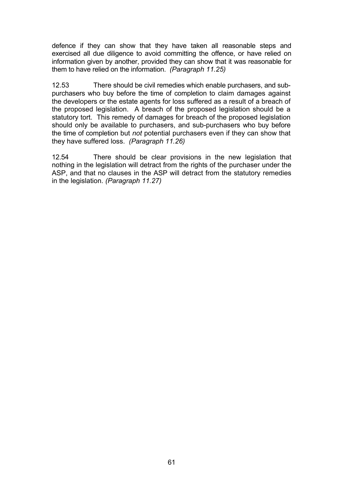defence if they can show that they have taken all reasonable steps and exercised all due diligence to avoid committing the offence, or have relied on information given by another, provided they can show that it was reasonable for them to have relied on the information. *(Paragraph 11.25)* 

12.53 There should be civil remedies which enable purchasers, and subpurchasers who buy before the time of completion to claim damages against the developers or the estate agents for loss suffered as a result of a breach of the proposed legislation. A breach of the proposed legislation should be a statutory tort. This remedy of damages for breach of the proposed legislation should only be available to purchasers, and sub-purchasers who buy before the time of completion but *not* potential purchasers even if they can show that they have suffered loss. *(Paragraph 11.26)*

12.54 There should be clear provisions in the new legislation that nothing in the legislation will detract from the rights of the purchaser under the ASP, and that no clauses in the ASP will detract from the statutory remedies in the legislation. *(Paragraph 11.27)*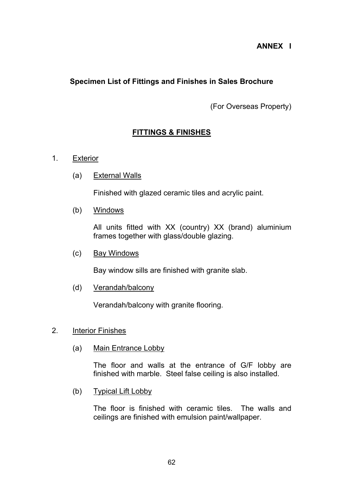### **ANNEX I**

### **Specimen List of Fittings and Finishes in Sales Brochure**

(For Overseas Property)

### **FITTINGS & FINISHES**

#### 1. Exterior

(a) External Walls

Finished with glazed ceramic tiles and acrylic paint.

(b) Windows

 All units fitted with XX (country) XX (brand) aluminium frames together with glass/double glazing.

(c) Bay Windows

Bay window sills are finished with granite slab.

(d) Verandah/balcony

Verandah/balcony with granite flooring.

#### 2. Interior Finishes

(a) Main Entrance Lobby

 The floor and walls at the entrance of G/F lobby are finished with marble. Steel false ceiling is also installed.

(b) Typical Lift Lobby

 The floor is finished with ceramic tiles. The walls and ceilings are finished with emulsion paint/wallpaper.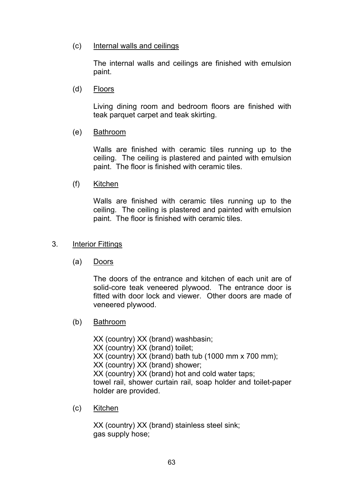(c) Internal walls and ceilings

 The internal walls and ceilings are finished with emulsion paint.

(d) Floors

 Living dining room and bedroom floors are finished with teak parquet carpet and teak skirting.

(e) Bathroom

 Walls are finished with ceramic tiles running up to the ceiling. The ceiling is plastered and painted with emulsion paint. The floor is finished with ceramic tiles.

(f) Kitchen

 Walls are finished with ceramic tiles running up to the ceiling. The ceiling is plastered and painted with emulsion paint. The floor is finished with ceramic tiles.

- 3. Interior Fittings
	- (a) Doors

 The doors of the entrance and kitchen of each unit are of solid-core teak veneered plywood. The entrance door is fitted with door lock and viewer. Other doors are made of veneered plywood.

(b) Bathroom

 XX (country) XX (brand) washbasin; XX (country) XX (brand) toilet; XX (country) XX (brand) bath tub (1000 mm x 700 mm); XX (country) XX (brand) shower; XX (country) XX (brand) hot and cold water taps; towel rail, shower curtain rail, soap holder and toilet-paper holder are provided.

(c) Kitchen

 XX (country) XX (brand) stainless steel sink; gas supply hose;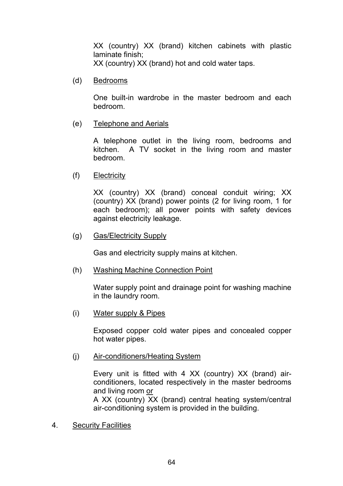XX (country) XX (brand) kitchen cabinets with plastic laminate finish; XX (country) XX (brand) hot and cold water taps.

(d) Bedrooms

 One built-in wardrobe in the master bedroom and each bedroom.

### (e) Telephone and Aerials

 A telephone outlet in the living room, bedrooms and kitchen. A TV socket in the living room and master bedroom.

(f) Electricity

 XX (country) XX (brand) conceal conduit wiring; XX (country) XX (brand) power points (2 for living room, 1 for each bedroom); all power points with safety devices against electricity leakage.

(g) Gas/Electricity Supply

Gas and electricity supply mains at kitchen.

(h) Washing Machine Connection Point

 Water supply point and drainage point for washing machine in the laundry room.

(i) Water supply & Pipes

 Exposed copper cold water pipes and concealed copper hot water pipes.

(j) Air-conditioners/Heating System

 Every unit is fitted with 4 XX (country) XX (brand) airconditioners, located respectively in the master bedrooms and living room or

 A XX (country) XX (brand) central heating system/central air-conditioning system is provided in the building.

4. Security Facilities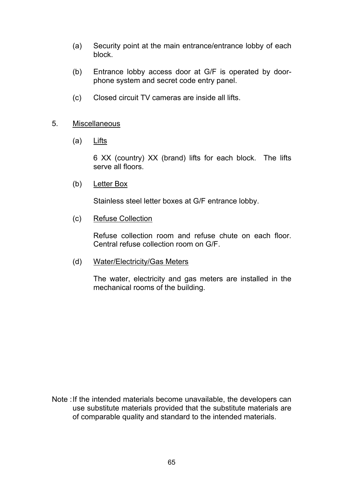- (a) Security point at the main entrance/entrance lobby of each block.
- (b) Entrance lobby access door at G/F is operated by doorphone system and secret code entry panel.
- (c) Closed circuit TV cameras are inside all lifts.

### 5. Miscellaneous

(a) Lifts

 6 XX (country) XX (brand) lifts for each block. The lifts serve all floors.

(b) Letter Box

Stainless steel letter boxes at G/F entrance lobby.

(c) Refuse Collection

 Refuse collection room and refuse chute on each floor. Central refuse collection room on G/F.

(d) Water/Electricity/Gas Meters

 The water, electricity and gas meters are installed in the mechanical rooms of the building.

Note : If the intended materials become unavailable, the developers can use substitute materials provided that the substitute materials are of comparable quality and standard to the intended materials.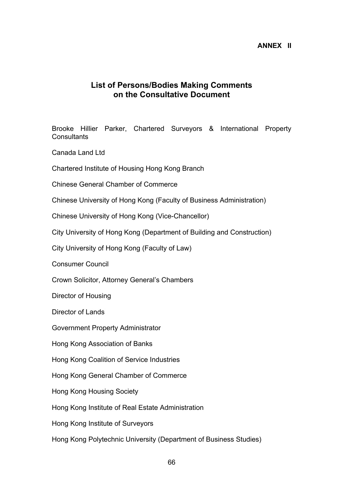#### **ANNEX II**

### **List of Persons/Bodies Making Comments on the Consultative Document**

Brooke Hillier Parker, Chartered Surveyors & International Property **Consultants** 

Canada Land Ltd

Chartered Institute of Housing Hong Kong Branch

Chinese General Chamber of Commerce

Chinese University of Hong Kong (Faculty of Business Administration)

Chinese University of Hong Kong (Vice-Chancellor)

City University of Hong Kong (Department of Building and Construction)

City University of Hong Kong (Faculty of Law)

Consumer Council

Crown Solicitor, Attorney General's Chambers

Director of Housing

Director of Lands

Government Property Administrator

Hong Kong Association of Banks

Hong Kong Coalition of Service Industries

Hong Kong General Chamber of Commerce

Hong Kong Housing Society

Hong Kong Institute of Real Estate Administration

Hong Kong Institute of Surveyors

Hong Kong Polytechnic University (Department of Business Studies)